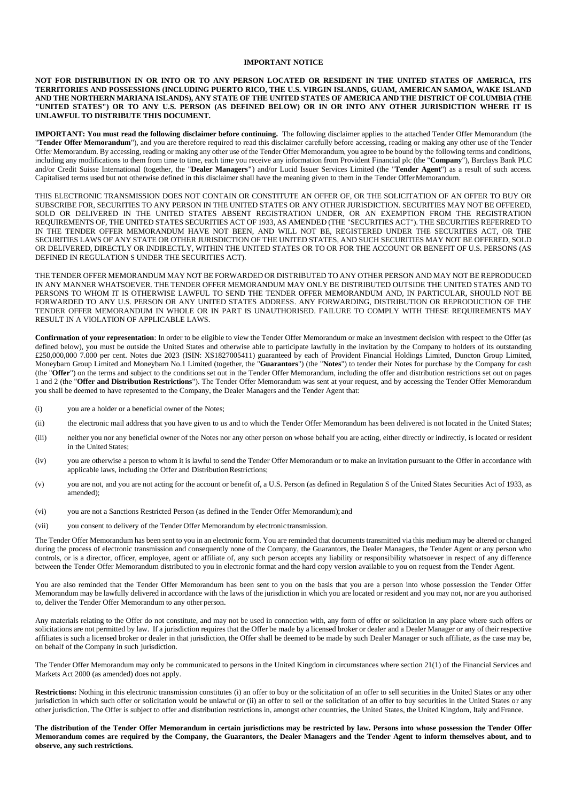#### **IMPORTANT NOTICE**

**NOT FOR DISTRIBUTION IN OR INTO OR TO ANY PERSON LOCATED OR RESIDENT IN THE UNITED STATES OF AMERICA, ITS TERRITORIES AND POSSESSIONS (INCLUDING PUERTO RICO, THE U.S. VIRGIN ISLANDS, GUAM, AMERICAN SAMOA, WAKE ISLAND AND THE NORTHERN MARIANA ISLANDS), ANY STATE OF THE UNITED STATES OF AMERICA AND THE DISTRICT OF COLUMBIA (THE "UNITED STATES") OR TO ANY U.S. PERSON (AS DEFINED BELOW) OR IN OR INTO ANY OTHER JURISDICTION WHERE IT IS UNLAWFUL TO DISTRIBUTE THIS DOCUMENT.**

**IMPORTANT: You must read the following disclaimer before continuing.** The following disclaimer applies to the attached Tender Offer Memorandum (the "**Tender Offer Memorandum**"), and you are therefore required to read this disclaimer carefully before accessing, reading or making any other use of the Tender Offer Memorandum. By accessing, reading or making any other use of the Tender Offer Memorandum, you agree to be bound by the following terms and conditions, including any modifications to them from time to time, each time you receive any information from Provident Financial plc (the "**Company**"), Barclays Bank PLC and/or Credit Suisse International (together, the "**Dealer Managers"**) and/or Lucid Issuer Services Limited (the "**Tender Agent**") as a result of such access. Capitalised terms used but not otherwise defined in this disclaimer shall have the meaning given to them in the Tender OfferMemorandum.

THIS ELECTRONIC TRANSMISSION DOES NOT CONTAIN OR CONSTITUTE AN OFFER OF, OR THE SOLICITATION OF AN OFFER TO BUY OR SUBSCRIBE FOR, SECURITIES TO ANY PERSON IN THE UNITED STATES OR ANY OTHER JURISDICTION. SECURITIES MAY NOT BE OFFERED, SOLD OR DELIVERED IN THE UNITED STATES ABSENT REGISTRATION UNDER, OR AN EXEMPTION FROM THE REGISTRATION REQUIREMENTS OF, THE UNITED STATES SECURITIES ACT OF 1933, AS AMENDED (THE "SECURITIES ACT"). THE SECURITIES REFERRED TO IN THE TENDER OFFER MEMORANDUM HAVE NOT BEEN, AND WILL NOT BE, REGISTERED UNDER THE SECURITIES ACT, OR THE SECURITIES LAWS OF ANY STATE OR OTHER JURISDICTION OF THE UNITED STATES, AND SUCH SECURITIES MAY NOT BE OFFERED, SOLD OR DELIVERED, DIRECTLY OR INDIRECTLY, WITHIN THE UNITED STATES OR TO OR FOR THE ACCOUNT OR BENEFIT OF U.S. PERSONS (AS DEFINED IN REGULATION S UNDER THE SECURITIES ACT).

THE TENDER OFFER MEMORANDUM MAY NOT BE FORWARDED OR DISTRIBUTED TO ANY OTHER PERSON AND MAY NOT BE REPRODUCED IN ANY MANNER WHATSOEVER. THE TENDER OFFER MEMORANDUM MAY ONLY BE DISTRIBUTED OUTSIDE THE UNITED STATES AND TO PERSONS TO WHOM IT IS OTHERWISE LAWFUL TO SEND THE TENDER OFFER MEMORANDUM AND, IN PARTICULAR, SHOULD NOT BE FORWARDED TO ANY U.S. PERSON OR ANY UNITED STATES ADDRESS. ANY FORWARDING, DISTRIBUTION OR REPRODUCTION OF THE TENDER OFFER MEMORANDUM IN WHOLE OR IN PART IS UNAUTHORISED. FAILURE TO COMPLY WITH THESE REQUIREMENTS MAY RESULT IN A VIOLATION OF APPLICABLE LAWS.

**Confirmation of your representation**: In order to be eligible to view the Tender Offer Memorandum or make an investment decision with respect to the Offer (as defined below), you must be outside the United States and otherwise able to participate lawfully in the invitation by the Company to holders of its outstanding £250,000,000 7.000 per cent. Notes due 2023 (ISIN: XS1827005411) guaranteed by each of Provident Financial Holdings Limited, Duncton Group Limited, Moneybarn Group Limited and Moneybarn No.1 Limited (together, the "**Guarantors**") (the "**Notes**") to tender their Notes for purchase by the Company for cash (the "**Offer**") on the terms and subject to the conditions set out in the Tender Offer Memorandum, including the offer and distribution restrictions set out on pages 1 and 2 (the "**Offer and Distribution Restrictions**"). The Tender Offer Memorandum was sent at your request, and by accessing the Tender Offer Memorandum you shall be deemed to have represented to the Company, the Dealer Managers and the Tender Agent that:

- (i) you are a holder or a beneficial owner of the Notes;
- (ii) the electronic mail address that you have given to us and to which the Tender Offer Memorandum has been delivered is not located in the United States;
- (iii) neither you nor any beneficial owner of the Notes nor any other person on whose behalf you are acting, either directly or indirectly, is located or resident in the United States;
- (iv) you are otherwise a person to whom it is lawful to send the Tender Offer Memorandum or to make an invitation pursuant to the Offer in accordance with applicable laws, including the Offer and Distribution Restrictions;
- (v) you are not, and you are not acting for the account or benefit of, a U.S. Person (as defined in Regulation S of the United States Securities Act of 1933, as amended);
- (vi) you are not a Sanctions Restricted Person (as defined in the Tender Offer Memorandum); and
- (vii) you consent to delivery of the Tender Offer Memorandum by electronic transmission.

The Tender Offer Memorandum has been sent to you in an electronic form. You are reminded that documents transmitted via this medium may be altered or changed during the process of electronic transmission and consequently none of the Company, the Guarantors, the Dealer Managers, the Tender Agent or any person who controls, or is a director, officer, employee, agent or affiliate of, any such person accepts any liability or responsibility whatsoever in respect of any difference between the Tender Offer Memorandum distributed to you in electronic format and the hard copy version available to you on request from the Tender Agent.

You are also reminded that the Tender Offer Memorandum has been sent to you on the basis that you are a person into whose possession the Tender Offer Memorandum may be lawfully delivered in accordance with the laws of the jurisdiction in which you are located or resident and you may not, nor are you authorised to, deliver the Tender Offer Memorandum to any other person.

Any materials relating to the Offer do not constitute, and may not be used in connection with, any form of offer or solicitation in any place where such offers or solicitations are not permitted by law. If a jurisdiction requires that the Offer be made by a licensed broker or dealer and a Dealer Manager or any of their respective affiliates is such a licensed broker or dealer in that jurisdiction, the Offer shall be deemed to be made by such Dealer Manager or such affiliate, as the case may be, on behalf of the Company in such jurisdiction.

The Tender Offer Memorandum may only be communicated to persons in the United Kingdom in circumstances where section 21(1) of the Financial Services and Markets Act 2000 (as amended) does not apply.

**Restrictions:** Nothing in this electronic transmission constitutes (i) an offer to buy or the solicitation of an offer to sell securities in the United States or any other jurisdiction in which such offer or solicitation would be unlawful or (ii) an offer to sell or the solicitation of an offer to buy securities in the United States or any other jurisdiction. The Offer is subject to offer and distribution restrictions in, amongst other countries, the United States, the United Kingdom, Italy andFrance.

**The distribution of the Tender Offer Memorandum in certain jurisdictions may be restricted by law. Persons into whose possession the Tender Offer Memorandum comes are required by the Company, the Guarantors, the Dealer Managers and the Tender Agent to inform themselves about, and to observe, any such restrictions.**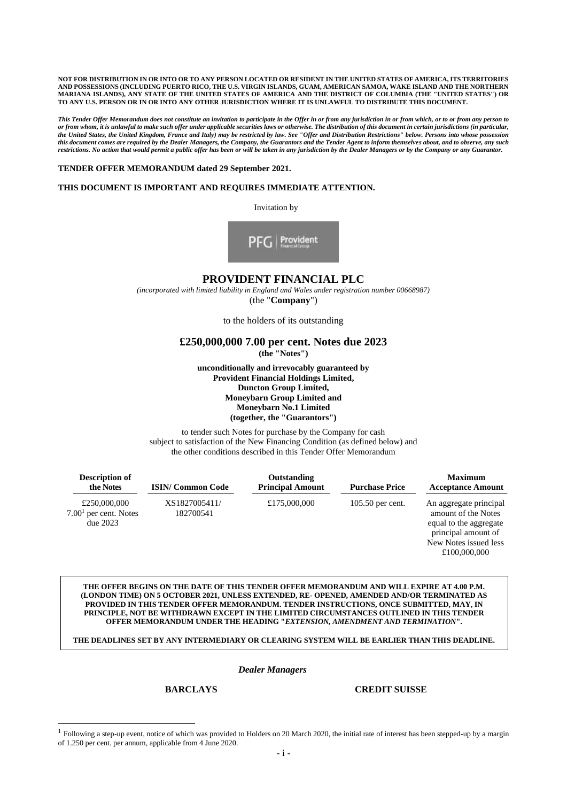**NOT FOR DISTRIBUTION IN OR INTO OR TO ANY PERSON LOCATED OR RESIDENT IN THE UNITED STATES OF AMERICA, ITS TERRITORIES AND POSSESSIONS (INCLUDING PUERTO RICO, THE U.S. VIRGIN ISLANDS, GUAM, AMERICAN SAMOA, WAKE ISLAND AND THE NORTHERN MARIANA ISLANDS), ANY STATE OF THE UNITED STATES OF AMERICA AND THE DISTRICT OF COLUMBIA (THE "UNITED STATES") OR TO ANY U.S. PERSON OR IN OR INTO ANY OTHER JURISDICTION WHERE IT IS UNLAWFUL TO DISTRIBUTE THIS DOCUMENT.**

*This Tender Offer Memorandum does not constitute an invitation to participate in the Offer in or from any jurisdiction in or from which, or to or from any person to or from whom, it is unlawful to make such offer under applicable securities laws or otherwise. The distribution of this document in certain jurisdictions (in particular, the United States, the United Kingdom, France and Italy) may be restricted by law. See "Offer and Distribution Restrictions" below. Persons into whose possession this document comes are required by the Dealer Managers, the Company, the Guarantors and the Tender Agent to inform themselves about, and to observe, any such restrictions. No action that would permit a public offer has been or will be taken in any jurisdiction by the Dealer Managers or by the Company or any Guarantor.*

**TENDER OFFER MEMORANDUM dated 29 September 2021.**

**THIS DOCUMENT IS IMPORTANT AND REQUIRES IMMEDIATE ATTENTION.**

Invitation by



# **PROVIDENT FINANCIAL PLC**

*(incorporated with limited liability in England and Wales under registration number 00668987)* (the "**Company**")

to the holders of its outstanding

### **£250,000,000 7.00 per cent. Notes due 2023 (the "Notes")**

**unconditionally and irrevocably guaranteed by Provident Financial Holdings Limited, Duncton Group Limited, Moneybarn Group Limited and Moneybarn No.1 Limited (together, the "Guarantors")** 

to tender such Notes for purchase by the Company for cash subject to satisfaction of the New Financing Condition (as defined below) and the other conditions described in this Tender Offer Memorandum

| <b>Description of</b><br>the Notes                  | <b>ISIN/Common Code</b>    | Outstanding<br><b>Principal Amount</b> | <b>Purchase Price</b> | <b>Maximum</b><br><b>Acceptance Amount</b>                                                                                              |
|-----------------------------------------------------|----------------------------|----------------------------------------|-----------------------|-----------------------------------------------------------------------------------------------------------------------------------------|
| £250,000,000<br>$7.001$ per cent. Notes<br>due 2023 | XS1827005411/<br>182700541 | £175,000,000                           | 105.50 per cent.      | An aggregate principal<br>amount of the Notes<br>equal to the aggregate<br>principal amount of<br>New Notes issued less<br>£100,000,000 |

**THE OFFER BEGINS ON THE DATE OF THIS TENDER OFFER MEMORANDUM AND WILL EXPIRE AT 4.00 P.M. (LONDON TIME) ON 5 OCTOBER 2021, UNLESS EXTENDED, RE- OPENED, AMENDED AND/OR TERMINATED AS PROVIDED IN THIS TENDER OFFER MEMORANDUM. TENDER INSTRUCTIONS, ONCE SUBMITTED, MAY, IN PRINCIPLE, NOT BE WITHDRAWN EXCEPT IN THE LIMITED CIRCUMSTANCES OUTLINED IN THIS TENDER OFFER MEMORANDUM UNDER THE HEADING "***EXTENSION, AMENDMENT AND TERMINATION***".**

**THE DEADLINES SET BY ANY INTERMEDIARY OR CLEARING SYSTEM WILL BE EARLIER THAN THIS DEADLINE.**

*Dealer Managers*

#### **BARCLAYS CREDIT SUISSE**

<sup>&</sup>lt;sup>1</sup> Following a step-up event, notice of which was provided to Holders on 20 March 2020, the initial rate of interest has been stepped-up by a margin of 1.250 per cent. per annum, applicable from 4 June 2020.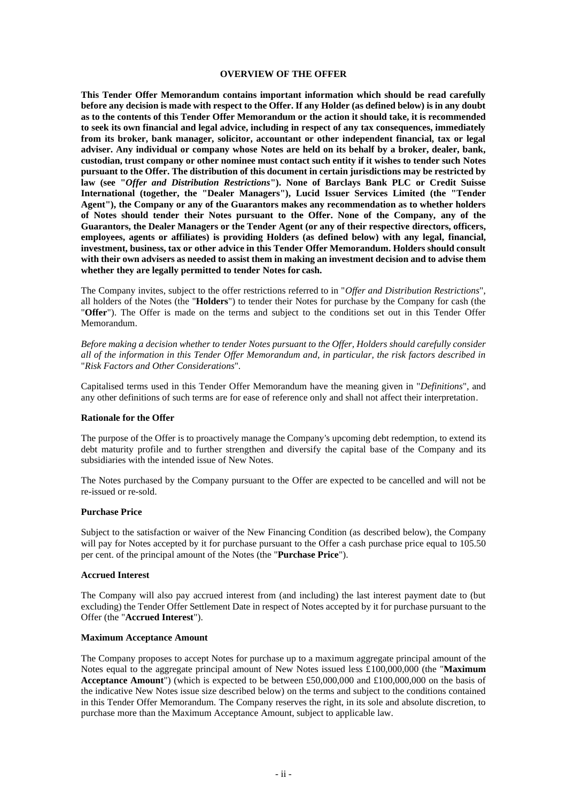#### **OVERVIEW OF THE OFFER**

**This Tender Offer Memorandum contains important information which should be read carefully before any decision is made with respect to the Offer. If any Holder (as defined below) is in any doubt as to the contents of this Tender Offer Memorandum or the action it should take, it is recommended to seek its own financial and legal advice, including in respect of any tax consequences, immediately from its broker, bank manager, solicitor, accountant or other independent financial, tax or legal adviser. Any individual or company whose Notes are held on its behalf by a broker, dealer, bank, custodian, trust company or other nominee must contact such entity if it wishes to tender such Notes pursuant to the Offer. The distribution of this document in certain jurisdictions may be restricted by law (see "***Offer and Distribution Restrictions***"). None of Barclays Bank PLC or Credit Suisse International (together, the "Dealer Managers"), Lucid Issuer Services Limited (the "Tender Agent"), the Company or any of the Guarantors makes any recommendation as to whether holders of Notes should tender their Notes pursuant to the Offer. None of the Company, any of the Guarantors, the Dealer Managers or the Tender Agent (or any of their respective directors, officers, employees, agents or affiliates) is providing Holders (as defined below) with any legal, financial, investment, business, tax or other advice in this Tender Offer Memorandum. Holders should consult with their own advisers as needed to assist them in making an investment decision and to advise them whether they are legally permitted to tender Notes for cash.**

The Company invites, subject to the offer restrictions referred to in "*Offer and Distribution Restrictions*", all holders of the Notes (the "**Holders**") to tender their Notes for purchase by the Company for cash (the "**Offer**"). The Offer is made on the terms and subject to the conditions set out in this Tender Offer Memorandum.

*Before making a decision whether to tender Notes pursuant to the Offer, Holders should carefully consider all of the information in this Tender Offer Memorandum and, in particular, the risk factors described in*  "*Risk Factors and Other Considerations*"*.*

Capitalised terms used in this Tender Offer Memorandum have the meaning given in "*Definitions*", and any other definitions of such terms are for ease of reference only and shall not affect their interpretation*.*

#### **Rationale for the Offer**

The purpose of the Offer is to proactively manage the Company's upcoming debt redemption, to extend its debt maturity profile and to further strengthen and diversify the capital base of the Company and its subsidiaries with the intended issue of New Notes.

The Notes purchased by the Company pursuant to the Offer are expected to be cancelled and will not be re-issued or re-sold.

#### **Purchase Price**

Subject to the satisfaction or waiver of the New Financing Condition (as described below), the Company will pay for Notes accepted by it for purchase pursuant to the Offer a cash purchase price equal to 105.50 per cent. of the principal amount of the Notes (the "**Purchase Price**").

#### **Accrued Interest**

The Company will also pay accrued interest from (and including) the last interest payment date to (but excluding) the Tender Offer Settlement Date in respect of Notes accepted by it for purchase pursuant to the Offer (the "**Accrued Interest**").

#### **Maximum Acceptance Amount**

The Company proposes to accept Notes for purchase up to a maximum aggregate principal amount of the Notes equal to the aggregate principal amount of New Notes issued less £100,000,000 (the "**Maximum Acceptance Amount**") (which is expected to be between £50,000,000 and £100,000,000 on the basis of the indicative New Notes issue size described below) on the terms and subject to the conditions contained in this Tender Offer Memorandum. The Company reserves the right, in its sole and absolute discretion, to purchase more than the Maximum Acceptance Amount, subject to applicable law.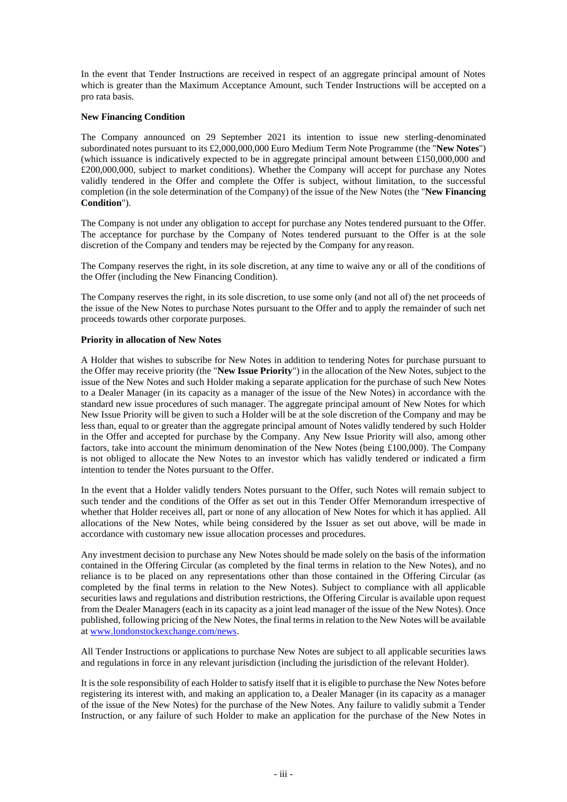In the event that Tender Instructions are received in respect of an aggregate principal amount of Notes which is greater than the Maximum Acceptance Amount, such Tender Instructions will be accepted on a pro rata basis.

# **New Financing Condition**

The Company announced on 29 September 2021 its intention to issue new sterling-denominated subordinated notes pursuant to its £2,000,000,000 Euro Medium Term Note Programme (the "**New Notes**") (which issuance is indicatively expected to be in aggregate principal amount between £150,000,000 and £200,000,000, subject to market conditions). Whether the Company will accept for purchase any Notes validly tendered in the Offer and complete the Offer is subject, without limitation, to the successful completion (in the sole determination of the Company) of the issue of the New Notes (the "**New Financing Condition**").

The Company is not under any obligation to accept for purchase any Notes tendered pursuant to the Offer. The acceptance for purchase by the Company of Notes tendered pursuant to the Offer is at the sole discretion of the Company and tenders may be rejected by the Company for any reason.

The Company reserves the right, in its sole discretion, at any time to waive any or all of the conditions of the Offer (including the New Financing Condition).

The Company reserves the right, in its sole discretion, to use some only (and not all of) the net proceeds of the issue of the New Notes to purchase Notes pursuant to the Offer and to apply the remainder of such net proceeds towards other corporate purposes.

### **Priority in allocation of New Notes**

A Holder that wishes to subscribe for New Notes in addition to tendering Notes for purchase pursuant to the Offer may receive priority (the "**New Issue Priority**") in the allocation of the New Notes, subject to the issue of the New Notes and such Holder making a separate application for the purchase of such New Notes to a Dealer Manager (in its capacity as a manager of the issue of the New Notes) in accordance with the standard new issue procedures of such manager. The aggregate principal amount of New Notes for which New Issue Priority will be given to such a Holder will be at the sole discretion of the Company and may be less than, equal to or greater than the aggregate principal amount of Notes validly tendered by such Holder in the Offer and accepted for purchase by the Company. Any New Issue Priority will also, among other factors, take into account the minimum denomination of the New Notes (being £100,000). The Company is not obliged to allocate the New Notes to an investor which has validly tendered or indicated a firm intention to tender the Notes pursuant to the Offer.

In the event that a Holder validly tenders Notes pursuant to the Offer, such Notes will remain subject to such tender and the conditions of the Offer as set out in this Tender Offer Memorandum irrespective of whether that Holder receives all, part or none of any allocation of New Notes for which it has applied. All allocations of the New Notes, while being considered by the Issuer as set out above, will be made in accordance with customary new issue allocation processes and procedures.

Any investment decision to purchase any New Notes should be made solely on the basis of the information contained in the Offering Circular (as completed by the final terms in relation to the New Notes), and no reliance is to be placed on any representations other than those contained in the Offering Circular (as completed by the final terms in relation to the New Notes). Subject to compliance with all applicable securities laws and regulations and distribution restrictions, the Offering Circular is available upon request from the Dealer Managers (each in its capacity as a joint lead manager of the issue of the New Notes). Once published, following pricing of the New Notes, the final terms in relation to the New Notes will be available at [www.londonstockexchange.com/news.](http://www.londonstockexchange.com/news)

All Tender Instructions or applications to purchase New Notes are subject to all applicable securities laws and regulations in force in any relevant jurisdiction (including the jurisdiction of the relevant Holder).

It is the sole responsibility of each Holder to satisfy itself that it is eligible to purchase the New Notes before registering its interest with, and making an application to, a Dealer Manager (in its capacity as a manager of the issue of the New Notes) for the purchase of the New Notes. Any failure to validly submit a Tender Instruction, or any failure of such Holder to make an application for the purchase of the New Notes in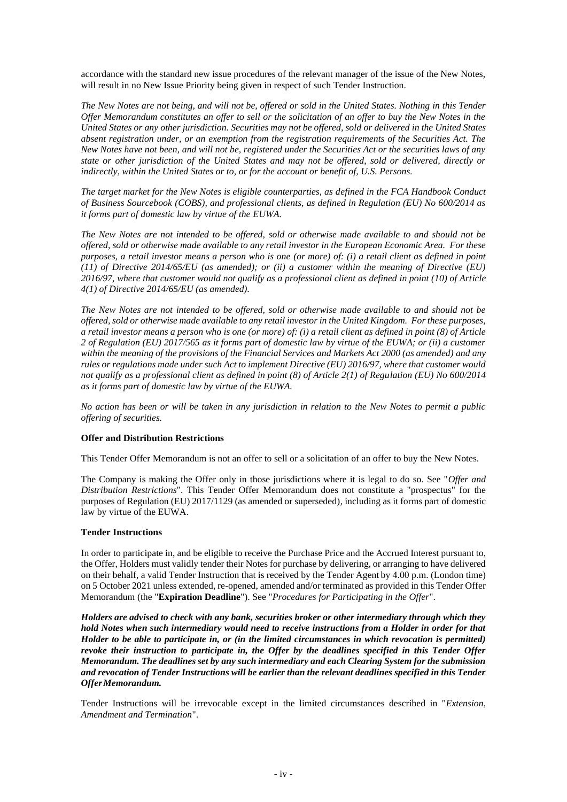accordance with the standard new issue procedures of the relevant manager of the issue of the New Notes, will result in no New Issue Priority being given in respect of such Tender Instruction.

*The New Notes are not being, and will not be, offered or sold in the United States. Nothing in this Tender Offer Memorandum constitutes an offer to sell or the solicitation of an offer to buy the New Notes in the United States or any other jurisdiction. Securities may not be offered, sold or delivered in the United States absent registration under, or an exemption from the registration requirements of the Securities Act. The New Notes have not been, and will not be, registered under the Securities Act or the securities laws of any state or other jurisdiction of the United States and may not be offered, sold or delivered, directly or indirectly, within the United States or to, or for the account or benefit of, U.S. Persons.*

*The target market for the New Notes is eligible counterparties, as defined in the FCA Handbook Conduct of Business Sourcebook (COBS), and professional clients, as defined in Regulation (EU) No 600/2014 as it forms part of domestic law by virtue of the EUWA.*

*The New Notes are not intended to be offered, sold or otherwise made available to and should not be offered, sold or otherwise made available to any retail investor in the European Economic Area. For these purposes, a retail investor means a person who is one (or more) of: (i) a retail client as defined in point (11) of Directive 2014/65/EU (as amended); or (ii) a customer within the meaning of Directive (EU) 2016/97, where that customer would not qualify as a professional client as defined in point (10) of Article 4(1) of Directive 2014/65/EU (as amended).*

*The New Notes are not intended to be offered, sold or otherwise made available to and should not be offered, sold or otherwise made available to any retail investor in the United Kingdom. For these purposes, a retail investor means a person who is one (or more) of: (i) a retail client as defined in point (8) of Article 2 of Regulation (EU) 2017/565 as it forms part of domestic law by virtue of the EUWA; or (ii) a customer within the meaning of the provisions of the Financial Services and Markets Act 2000 (as amended) and any rules or regulations made under such Act to implement Directive (EU) 2016/97, where that customer would not qualify as a professional client as defined in point (8) of Article 2(1) of Regulation (EU) No 600/2014 as it forms part of domestic law by virtue of the EUWA.*

*No action has been or will be taken in any jurisdiction in relation to the New Notes to permit a public offering of securities.*

# **Offer and Distribution Restrictions**

This Tender Offer Memorandum is not an offer to sell or a solicitation of an offer to buy the New Notes.

The Company is making the Offer only in those jurisdictions where it is legal to do so. See "*Offer and Distribution Restrictions*". This Tender Offer Memorandum does not constitute a "prospectus" for the purposes of Regulation (EU) 2017/1129 (as amended or superseded), including as it forms part of domestic law by virtue of the EUWA.

#### **Tender Instructions**

In order to participate in, and be eligible to receive the Purchase Price and the Accrued Interest pursuant to, the Offer, Holders must validly tender their Notes for purchase by delivering, or arranging to have delivered on their behalf, a valid Tender Instruction that is received by the Tender Agent by 4.00 p.m. (London time) on 5 October 2021 unless extended, re-opened, amended and/or terminated as provided in this Tender Offer Memorandum (the "**Expiration Deadline**"). See "*Procedures for Participating in the Offer*".

*Holders are advised to check with any bank, securities broker or other intermediary through which they hold Notes when such intermediary would need to receive instructions from a Holder in order for that Holder to be able to participate in, or (in the limited circumstances in which revocation is permitted) revoke their instruction to participate in, the Offer by the deadlines specified in this Tender Offer Memorandum. The deadlines set by any such intermediary and each Clearing System for the submission and revocation of Tender Instructions will be earlier than the relevant deadlines specified in this Tender OfferMemorandum.*

Tender Instructions will be irrevocable except in the limited circumstances described in "*Extension, Amendment and Termination*".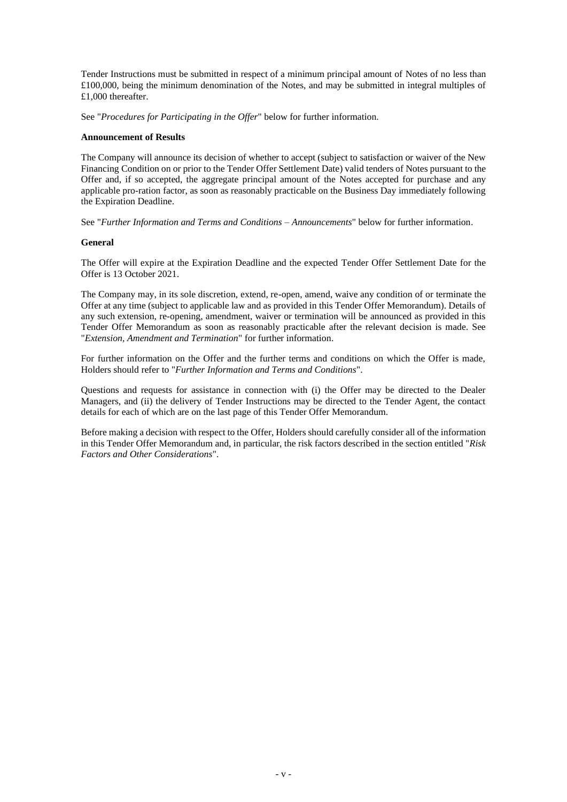Tender Instructions must be submitted in respect of a minimum principal amount of Notes of no less than  $£100,000$ , being the minimum denomination of the Notes, and may be submitted in integral multiples of £1,000 thereafter.

See "*Procedures for Participating in the Offer*" below for further information.

### **Announcement of Results**

The Company will announce its decision of whether to accept (subject to satisfaction or waiver of the New Financing Condition on or prior to the Tender Offer Settlement Date) valid tenders of Notes pursuant to the Offer and, if so accepted, the aggregate principal amount of the Notes accepted for purchase and any applicable pro-ration factor, as soon as reasonably practicable on the Business Day immediately following the Expiration Deadline.

See "*Further Information and Terms and Conditions – Announcements*" below for further information.

### **General**

The Offer will expire at the Expiration Deadline and the expected Tender Offer Settlement Date for the Offer is 13 October 2021.

The Company may, in its sole discretion, extend, re-open, amend, waive any condition of or terminate the Offer at any time (subject to applicable law and as provided in this Tender Offer Memorandum). Details of any such extension, re-opening, amendment, waiver or termination will be announced as provided in this Tender Offer Memorandum as soon as reasonably practicable after the relevant decision is made. See "*Extension, Amendment and Termination*" for further information.

For further information on the Offer and the further terms and conditions on which the Offer is made, Holders should refer to "*Further Information and Terms and Conditions*".

Questions and requests for assistance in connection with (i) the Offer may be directed to the Dealer Managers, and (ii) the delivery of Tender Instructions may be directed to the Tender Agent, the contact details for each of which are on the last page of this Tender Offer Memorandum.

Before making a decision with respect to the Offer, Holders should carefully consider all of the information in this Tender Offer Memorandum and, in particular, the risk factors described in the section entitled "*Risk Factors and Other Considerations*".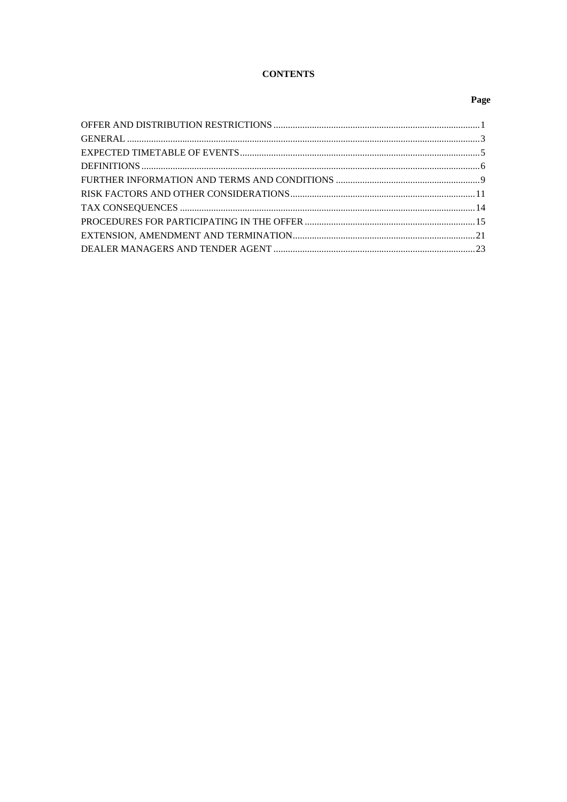# **CONTENTS**

# Page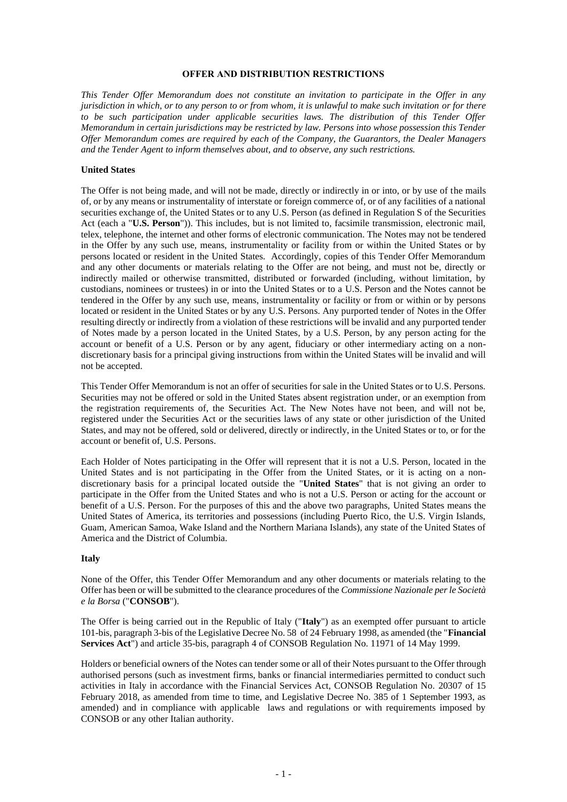### **OFFER AND DISTRIBUTION RESTRICTIONS**

*This Tender Offer Memorandum does not constitute an invitation to participate in the Offer in any jurisdiction in which, or to any person to or from whom, it is unlawful to make such invitation or for there to be such participation under applicable securities laws. The distribution of this Tender Offer Memorandum in certain jurisdictions may be restricted by law. Persons into whose possession this Tender Offer Memorandum comes are required by each of the Company, the Guarantors, the Dealer Managers and the Tender Agent to inform themselves about, and to observe, any such restrictions.*

#### **United States**

The Offer is not being made, and will not be made, directly or indirectly in or into, or by use of the mails of, or by any means or instrumentality of interstate or foreign commerce of, or of any facilities of a national securities exchange of, the United States or to any U.S. Person (as defined in Regulation S of the Securities Act (each a "**U.S. Person**")). This includes, but is not limited to, facsimile transmission, electronic mail, telex, telephone, the internet and other forms of electronic communication. The Notes may not be tendered in the Offer by any such use, means, instrumentality or facility from or within the United States or by persons located or resident in the United States. Accordingly, copies of this Tender Offer Memorandum and any other documents or materials relating to the Offer are not being, and must not be, directly or indirectly mailed or otherwise transmitted, distributed or forwarded (including, without limitation, by custodians, nominees or trustees) in or into the United States or to a U.S. Person and the Notes cannot be tendered in the Offer by any such use, means, instrumentality or facility or from or within or by persons located or resident in the United States or by any U.S. Persons. Any purported tender of Notes in the Offer resulting directly or indirectly from a violation of these restrictions will be invalid and any purported tender of Notes made by a person located in the United States, by a U.S. Person, by any person acting for the account or benefit of a U.S. Person or by any agent, fiduciary or other intermediary acting on a nondiscretionary basis for a principal giving instructions from within the United States will be invalid and will not be accepted.

This Tender Offer Memorandum is not an offer of securities for sale in the United States or to U.S. Persons. Securities may not be offered or sold in the United States absent registration under, or an exemption from the registration requirements of, the Securities Act. The New Notes have not been, and will not be, registered under the Securities Act or the securities laws of any state or other jurisdiction of the United States, and may not be offered, sold or delivered, directly or indirectly, in the United States or to, or for the account or benefit of, U.S. Persons.

Each Holder of Notes participating in the Offer will represent that it is not a U.S. Person, located in the United States and is not participating in the Offer from the United States, or it is acting on a nondiscretionary basis for a principal located outside the "**United States**" that is not giving an order to participate in the Offer from the United States and who is not a U.S. Person or acting for the account or benefit of a U.S. Person. For the purposes of this and the above two paragraphs, United States means the United States of America, its territories and possessions (including Puerto Rico, the U.S. Virgin Islands, Guam, American Samoa, Wake Island and the Northern Mariana Islands), any state of the United States of America and the District of Columbia.

#### **Italy**

None of the Offer, this Tender Offer Memorandum and any other documents or materials relating to the Offer has been or will be submitted to the clearance procedures of the *Commissione Nazionale per le Società e la Borsa* ("**CONSOB**").

The Offer is being carried out in the Republic of Italy ("**Italy**") as an exempted offer pursuant to article 101-bis, paragraph 3-bis of the Legislative Decree No. 58 of 24 February 1998, as amended (the "**Financial Services Act**") and article 35-bis, paragraph 4 of CONSOB Regulation No. 11971 of 14 May 1999.

Holders or beneficial owners of the Notes can tender some or all of their Notes pursuant to the Offer through authorised persons (such as investment firms, banks or financial intermediaries permitted to conduct such activities in Italy in accordance with the Financial Services Act, CONSOB Regulation No. 20307 of 15 February 2018, as amended from time to time, and Legislative Decree No. 385 of 1 September 1993, as amended) and in compliance with applicable laws and regulations or with requirements imposed by CONSOB or any other Italian authority.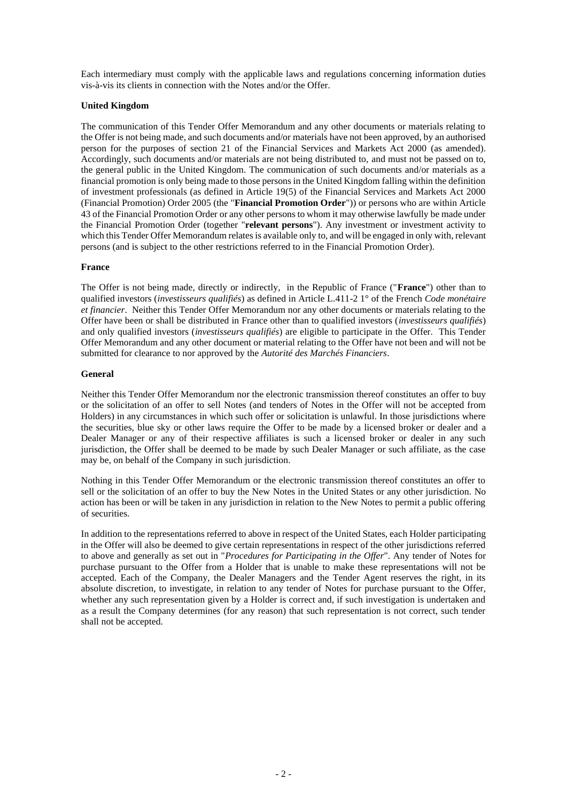Each intermediary must comply with the applicable laws and regulations concerning information duties vis-à-vis its clients in connection with the Notes and/or the Offer.

# **United Kingdom**

The communication of this Tender Offer Memorandum and any other documents or materials relating to the Offer is not being made, and such documents and/or materials have not been approved, by an authorised person for the purposes of section 21 of the Financial Services and Markets Act 2000 (as amended). Accordingly, such documents and/or materials are not being distributed to, and must not be passed on to, the general public in the United Kingdom. The communication of such documents and/or materials as a financial promotion is only being made to those persons in the United Kingdom falling within the definition of investment professionals (as defined in Article 19(5) of the Financial Services and Markets Act 2000 (Financial Promotion) Order 2005 (the "**Financial Promotion Order**")) or persons who are within Article 43 of the Financial Promotion Order or any other persons to whom it may otherwise lawfully be made under the Financial Promotion Order (together "**relevant persons**"). Any investment or investment activity to which this Tender Offer Memorandum relates is available only to, and will be engaged in only with, relevant persons (and is subject to the other restrictions referred to in the Financial Promotion Order).

### **France**

The Offer is not being made, directly or indirectly, in the Republic of France ("**France**") other than to qualified investors (*investisseurs qualifiés*) as defined in Article L.411-2 1° of the French *Code monétaire et financier*. Neither this Tender Offer Memorandum nor any other documents or materials relating to the Offer have been or shall be distributed in France other than to qualified investors (*investisseurs qualifiés*) and only qualified investors (*investisseurs qualifiés*) are eligible to participate in the Offer. This Tender Offer Memorandum and any other document or material relating to the Offer have not been and will not be submitted for clearance to nor approved by the *Autorité des Marchés Financiers*.

### **General**

Neither this Tender Offer Memorandum nor the electronic transmission thereof constitutes an offer to buy or the solicitation of an offer to sell Notes (and tenders of Notes in the Offer will not be accepted from Holders) in any circumstances in which such offer or solicitation is unlawful. In those jurisdictions where the securities, blue sky or other laws require the Offer to be made by a licensed broker or dealer and a Dealer Manager or any of their respective affiliates is such a licensed broker or dealer in any such jurisdiction, the Offer shall be deemed to be made by such Dealer Manager or such affiliate, as the case may be, on behalf of the Company in such jurisdiction.

Nothing in this Tender Offer Memorandum or the electronic transmission thereof constitutes an offer to sell or the solicitation of an offer to buy the New Notes in the United States or any other jurisdiction. No action has been or will be taken in any jurisdiction in relation to the New Notes to permit a public offering of securities.

In addition to the representations referred to above in respect of the United States, each Holder participating in the Offer will also be deemed to give certain representations in respect of the other jurisdictions referred to above and generally as set out in "*Procedures for Participating in the Offer*". Any tender of Notes for purchase pursuant to the Offer from a Holder that is unable to make these representations will not be accepted. Each of the Company, the Dealer Managers and the Tender Agent reserves the right, in its absolute discretion, to investigate, in relation to any tender of Notes for purchase pursuant to the Offer, whether any such representation given by a Holder is correct and, if such investigation is undertaken and as a result the Company determines (for any reason) that such representation is not correct, such tender shall not be accepted.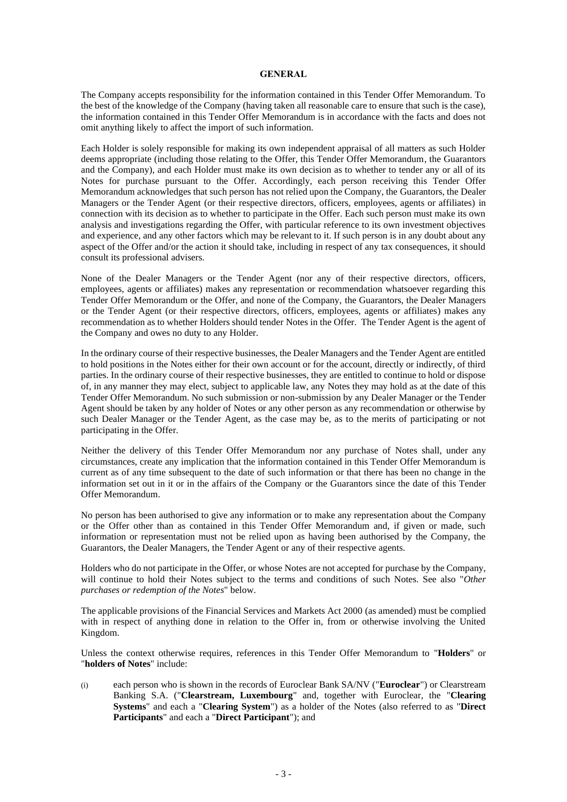#### **GENERAL**

The Company accepts responsibility for the information contained in this Tender Offer Memorandum. To the best of the knowledge of the Company (having taken all reasonable care to ensure that such is the case), the information contained in this Tender Offer Memorandum is in accordance with the facts and does not omit anything likely to affect the import of such information.

Each Holder is solely responsible for making its own independent appraisal of all matters as such Holder deems appropriate (including those relating to the Offer, this Tender Offer Memorandum, the Guarantors and the Company), and each Holder must make its own decision as to whether to tender any or all of its Notes for purchase pursuant to the Offer. Accordingly, each person receiving this Tender Offer Memorandum acknowledges that such person has not relied upon the Company, the Guarantors, the Dealer Managers or the Tender Agent (or their respective directors, officers, employees, agents or affiliates) in connection with its decision as to whether to participate in the Offer. Each such person must make its own analysis and investigations regarding the Offer, with particular reference to its own investment objectives and experience, and any other factors which may be relevant to it. If such person is in any doubt about any aspect of the Offer and/or the action it should take, including in respect of any tax consequences, it should consult its professional advisers.

None of the Dealer Managers or the Tender Agent (nor any of their respective directors, officers, employees, agents or affiliates) makes any representation or recommendation whatsoever regarding this Tender Offer Memorandum or the Offer, and none of the Company, the Guarantors, the Dealer Managers or the Tender Agent (or their respective directors, officers, employees, agents or affiliates) makes any recommendation as to whether Holders should tender Notes in the Offer. The Tender Agent is the agent of the Company and owes no duty to any Holder.

In the ordinary course of their respective businesses, the Dealer Managers and the Tender Agent are entitled to hold positions in the Notes either for their own account or for the account, directly or indirectly, of third parties. In the ordinary course of their respective businesses, they are entitled to continue to hold or dispose of, in any manner they may elect, subject to applicable law, any Notes they may hold as at the date of this Tender Offer Memorandum. No such submission or non-submission by any Dealer Manager or the Tender Agent should be taken by any holder of Notes or any other person as any recommendation or otherwise by such Dealer Manager or the Tender Agent, as the case may be, as to the merits of participating or not participating in the Offer.

Neither the delivery of this Tender Offer Memorandum nor any purchase of Notes shall, under any circumstances, create any implication that the information contained in this Tender Offer Memorandum is current as of any time subsequent to the date of such information or that there has been no change in the information set out in it or in the affairs of the Company or the Guarantors since the date of this Tender Offer Memorandum.

No person has been authorised to give any information or to make any representation about the Company or the Offer other than as contained in this Tender Offer Memorandum and, if given or made, such information or representation must not be relied upon as having been authorised by the Company, the Guarantors, the Dealer Managers, the Tender Agent or any of their respective agents.

Holders who do not participate in the Offer, or whose Notes are not accepted for purchase by the Company, will continue to hold their Notes subject to the terms and conditions of such Notes. See also "*Other purchases or redemption of the Notes*" below.

The applicable provisions of the Financial Services and Markets Act 2000 (as amended) must be complied with in respect of anything done in relation to the Offer in, from or otherwise involving the United Kingdom.

Unless the context otherwise requires, references in this Tender Offer Memorandum to "**Holders**" or "**holders of Notes**" include:

(i) each person who is shown in the records of Euroclear Bank SA/NV ("**Euroclear**") or Clearstream Banking S.A. ("**Clearstream, Luxembourg**" and, together with Euroclear, the "**Clearing Systems**" and each a "**Clearing System**") as a holder of the Notes (also referred to as "**Direct Participants**" and each a "**Direct Participant**"); and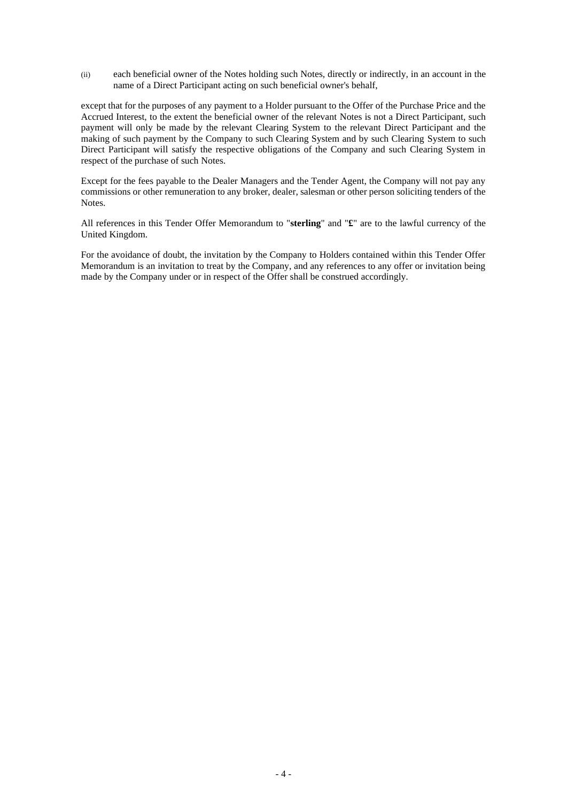(ii) each beneficial owner of the Notes holding such Notes, directly or indirectly, in an account in the name of a Direct Participant acting on such beneficial owner's behalf,

except that for the purposes of any payment to a Holder pursuant to the Offer of the Purchase Price and the Accrued Interest, to the extent the beneficial owner of the relevant Notes is not a Direct Participant, such payment will only be made by the relevant Clearing System to the relevant Direct Participant and the making of such payment by the Company to such Clearing System and by such Clearing System to such Direct Participant will satisfy the respective obligations of the Company and such Clearing System in respect of the purchase of such Notes.

Except for the fees payable to the Dealer Managers and the Tender Agent, the Company will not pay any commissions or other remuneration to any broker, dealer, salesman or other person soliciting tenders of the Notes.

All references in this Tender Offer Memorandum to "**sterling**" and "**£**" are to the lawful currency of the United Kingdom.

For the avoidance of doubt, the invitation by the Company to Holders contained within this Tender Offer Memorandum is an invitation to treat by the Company, and any references to any offer or invitation being made by the Company under or in respect of the Offer shall be construed accordingly.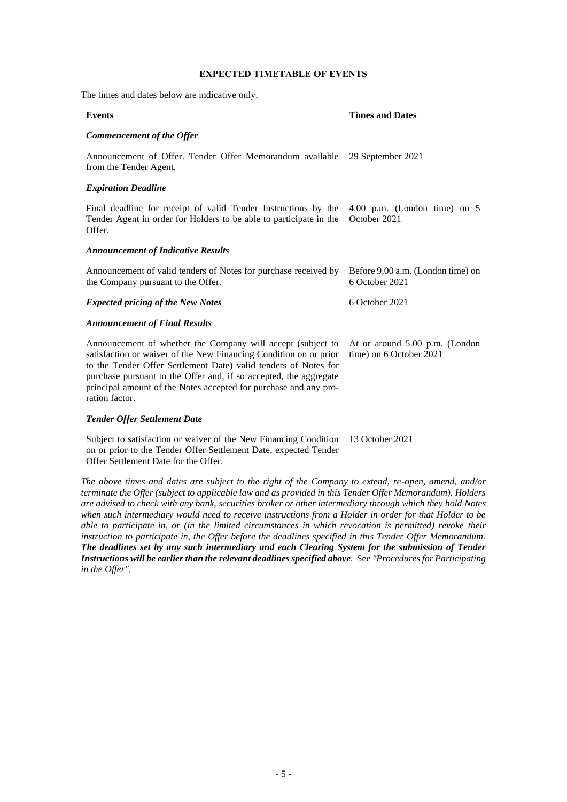# **EXPECTED TIMETABLE OF EVENTS**

The times and dates below are indicative only.

| <b>Events</b>                                                                                                                                                                                                                                                                                                                                                  | <b>Times and Dates</b>                                    |
|----------------------------------------------------------------------------------------------------------------------------------------------------------------------------------------------------------------------------------------------------------------------------------------------------------------------------------------------------------------|-----------------------------------------------------------|
| <b>Commencement of the Offer</b>                                                                                                                                                                                                                                                                                                                               |                                                           |
| Announcement of Offer. Tender Offer Memorandum available<br>from the Tender Agent.                                                                                                                                                                                                                                                                             | 29 September 2021                                         |
| <b>Expiration Deadline</b>                                                                                                                                                                                                                                                                                                                                     |                                                           |
| Final deadline for receipt of valid Tender Instructions by the<br>Tender Agent in order for Holders to be able to participate in the<br>Offer.                                                                                                                                                                                                                 | 4.00 p.m. (London time) on $5$<br>October 2021            |
| <b>Announcement of Indicative Results</b>                                                                                                                                                                                                                                                                                                                      |                                                           |
| Announcement of valid tenders of Notes for purchase received by<br>the Company pursuant to the Offer.                                                                                                                                                                                                                                                          | Before 9.00 a.m. (London time) on<br>6 October 2021       |
| <b>Expected pricing of the New Notes</b>                                                                                                                                                                                                                                                                                                                       | 6 October 2021                                            |
| <b>Announcement of Final Results</b>                                                                                                                                                                                                                                                                                                                           |                                                           |
| Announcement of whether the Company will accept (subject to<br>satisfaction or waiver of the New Financing Condition on or prior<br>to the Tender Offer Settlement Date) valid tenders of Notes for<br>purchase pursuant to the Offer and, if so accepted, the aggregate<br>principal amount of the Notes accepted for purchase and any pro-<br>ration factor. | At or around 5.00 p.m. (London<br>time) on 6 October 2021 |
| <b>Tender Offer Settlement Date</b>                                                                                                                                                                                                                                                                                                                            |                                                           |
|                                                                                                                                                                                                                                                                                                                                                                |                                                           |

Subject to satisfaction or waiver of the New Financing Condition 13 October 2021 on or prior to the Tender Offer Settlement Date, expected Tender Offer Settlement Date for the Offer.

*The above times and dates are subject to the right of the Company to extend, re-open, amend, and/or terminate the Offer (subject to applicable law and as provided in this Tender Offer Memorandum). Holders are advised to check with any bank, securities broker or other intermediary through which they hold Notes when such intermediary would need to receive instructions from a Holder in order for that Holder to be able to participate in, or (in the limited circumstances in which revocation is permitted) revoke their instruction to participate in, the Offer before the deadlines specified in this Tender Offer Memorandum. The deadlines set by any such intermediary and each Clearing System for the submission of Tender Instructions will be earlier than the relevant deadlines specified above.* See *"Procedures for Participating in the Offer".*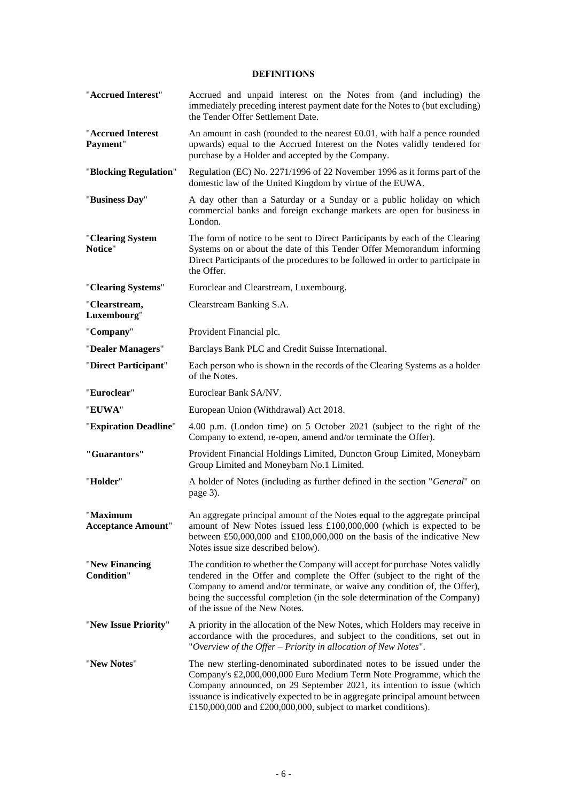# **DEFINITIONS**

| "Accrued Interest"                    | Accrued and unpaid interest on the Notes from (and including) the<br>immediately preceding interest payment date for the Notes to (but excluding)<br>the Tender Offer Settlement Date.                                                                                                                                                                                    |
|---------------------------------------|---------------------------------------------------------------------------------------------------------------------------------------------------------------------------------------------------------------------------------------------------------------------------------------------------------------------------------------------------------------------------|
| "Accrued Interest<br>Payment"         | An amount in cash (rounded to the nearest £0.01, with half a pence rounded<br>upwards) equal to the Accrued Interest on the Notes validly tendered for<br>purchase by a Holder and accepted by the Company.                                                                                                                                                               |
| "Blocking Regulation"                 | Regulation (EC) No. 2271/1996 of 22 November 1996 as it forms part of the<br>domestic law of the United Kingdom by virtue of the EUWA.                                                                                                                                                                                                                                    |
| "Business Day"                        | A day other than a Saturday or a Sunday or a public holiday on which<br>commercial banks and foreign exchange markets are open for business in<br>London.                                                                                                                                                                                                                 |
| "Clearing System<br>Notice"           | The form of notice to be sent to Direct Participants by each of the Clearing<br>Systems on or about the date of this Tender Offer Memorandum informing<br>Direct Participants of the procedures to be followed in order to participate in<br>the Offer.                                                                                                                   |
| "Clearing Systems"                    | Euroclear and Clearstream, Luxembourg.                                                                                                                                                                                                                                                                                                                                    |
| "Clearstream,<br>Luxembourg"          | Clearstream Banking S.A.                                                                                                                                                                                                                                                                                                                                                  |
| "Company"                             | Provident Financial plc.                                                                                                                                                                                                                                                                                                                                                  |
| "Dealer Managers"                     | Barclays Bank PLC and Credit Suisse International.                                                                                                                                                                                                                                                                                                                        |
| "Direct Participant"                  | Each person who is shown in the records of the Clearing Systems as a holder<br>of the Notes.                                                                                                                                                                                                                                                                              |
| "Euroclear"                           | Euroclear Bank SA/NV.                                                                                                                                                                                                                                                                                                                                                     |
| "EUWA"                                | European Union (Withdrawal) Act 2018.                                                                                                                                                                                                                                                                                                                                     |
| "Expiration Deadline"                 | 4.00 p.m. (London time) on 5 October 2021 (subject to the right of the<br>Company to extend, re-open, amend and/or terminate the Offer).                                                                                                                                                                                                                                  |
| "Guarantors"                          | Provident Financial Holdings Limited, Duncton Group Limited, Moneybarn<br>Group Limited and Moneybarn No.1 Limited.                                                                                                                                                                                                                                                       |
| "Holder"                              | A holder of Notes (including as further defined in the section "General" on<br>page 3).                                                                                                                                                                                                                                                                                   |
| "Maximum<br><b>Acceptance Amount"</b> | An aggregate principal amount of the Notes equal to the aggregate principal<br>amount of New Notes issued less £100,000,000 (which is expected to be<br>between £50,000,000 and £100,000,000 on the basis of the indicative New<br>Notes issue size described below).                                                                                                     |
| "New Financing<br><b>Condition"</b>   | The condition to whether the Company will accept for purchase Notes validly<br>tendered in the Offer and complete the Offer (subject to the right of the<br>Company to amend and/or terminate, or waive any condition of, the Offer),<br>being the successful completion (in the sole determination of the Company)<br>of the issue of the New Notes.                     |
| "New Issue Priority"                  | A priority in the allocation of the New Notes, which Holders may receive in<br>accordance with the procedures, and subject to the conditions, set out in<br>"Overview of the Offer – Priority in allocation of New Notes".                                                                                                                                                |
| "New Notes"                           | The new sterling-denominated subordinated notes to be issued under the<br>Company's £2,000,000,000 Euro Medium Term Note Programme, which the<br>Company announced, on 29 September 2021, its intention to issue (which<br>issuance is indicatively expected to be in aggregate principal amount between<br>£150,000,000 and £200,000,000, subject to market conditions). |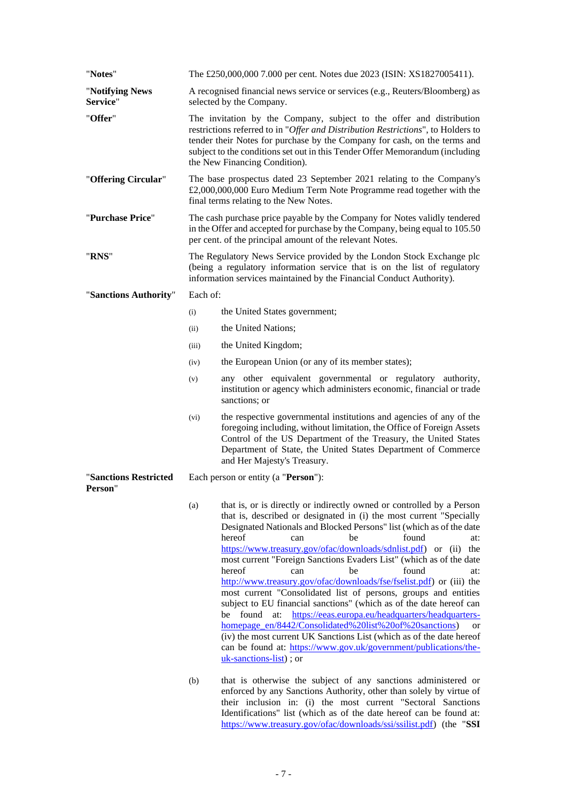| A recognised financial news service or services (e.g., Reuters/Bloomberg) as<br>The invitation by the Company, subject to the offer and distribution<br>restrictions referred to in "Offer and Distribution Restrictions", to Holders to<br>tender their Notes for purchase by the Company for cash, on the terms and<br>subject to the conditions set out in this Tender Offer Memorandum (including<br>The base prospectus dated 23 September 2021 relating to the Company's<br>£2,000,000,000 Euro Medium Term Note Programme read together with the                                                                                                                                                                                                                                                                                                                                                                                                                                                                                                                                                                                                               |  |
|-----------------------------------------------------------------------------------------------------------------------------------------------------------------------------------------------------------------------------------------------------------------------------------------------------------------------------------------------------------------------------------------------------------------------------------------------------------------------------------------------------------------------------------------------------------------------------------------------------------------------------------------------------------------------------------------------------------------------------------------------------------------------------------------------------------------------------------------------------------------------------------------------------------------------------------------------------------------------------------------------------------------------------------------------------------------------------------------------------------------------------------------------------------------------|--|
|                                                                                                                                                                                                                                                                                                                                                                                                                                                                                                                                                                                                                                                                                                                                                                                                                                                                                                                                                                                                                                                                                                                                                                       |  |
|                                                                                                                                                                                                                                                                                                                                                                                                                                                                                                                                                                                                                                                                                                                                                                                                                                                                                                                                                                                                                                                                                                                                                                       |  |
|                                                                                                                                                                                                                                                                                                                                                                                                                                                                                                                                                                                                                                                                                                                                                                                                                                                                                                                                                                                                                                                                                                                                                                       |  |
| The cash purchase price payable by the Company for Notes validly tendered<br>in the Offer and accepted for purchase by the Company, being equal to 105.50<br>per cent. of the principal amount of the relevant Notes.                                                                                                                                                                                                                                                                                                                                                                                                                                                                                                                                                                                                                                                                                                                                                                                                                                                                                                                                                 |  |
| The Regulatory News Service provided by the London Stock Exchange plc<br>(being a regulatory information service that is on the list of regulatory<br>information services maintained by the Financial Conduct Authority).                                                                                                                                                                                                                                                                                                                                                                                                                                                                                                                                                                                                                                                                                                                                                                                                                                                                                                                                            |  |
|                                                                                                                                                                                                                                                                                                                                                                                                                                                                                                                                                                                                                                                                                                                                                                                                                                                                                                                                                                                                                                                                                                                                                                       |  |
|                                                                                                                                                                                                                                                                                                                                                                                                                                                                                                                                                                                                                                                                                                                                                                                                                                                                                                                                                                                                                                                                                                                                                                       |  |
|                                                                                                                                                                                                                                                                                                                                                                                                                                                                                                                                                                                                                                                                                                                                                                                                                                                                                                                                                                                                                                                                                                                                                                       |  |
|                                                                                                                                                                                                                                                                                                                                                                                                                                                                                                                                                                                                                                                                                                                                                                                                                                                                                                                                                                                                                                                                                                                                                                       |  |
| the European Union (or any of its member states);                                                                                                                                                                                                                                                                                                                                                                                                                                                                                                                                                                                                                                                                                                                                                                                                                                                                                                                                                                                                                                                                                                                     |  |
| any other equivalent governmental or regulatory authority,<br>institution or agency which administers economic, financial or trade                                                                                                                                                                                                                                                                                                                                                                                                                                                                                                                                                                                                                                                                                                                                                                                                                                                                                                                                                                                                                                    |  |
| the respective governmental institutions and agencies of any of the<br>foregoing including, without limitation, the Office of Foreign Assets<br>Control of the US Department of the Treasury, the United States<br>Department of State, the United States Department of Commerce                                                                                                                                                                                                                                                                                                                                                                                                                                                                                                                                                                                                                                                                                                                                                                                                                                                                                      |  |
| Each person or entity (a " <b>Person</b> "):                                                                                                                                                                                                                                                                                                                                                                                                                                                                                                                                                                                                                                                                                                                                                                                                                                                                                                                                                                                                                                                                                                                          |  |
| that is, or is directly or indirectly owned or controlled by a Person<br>that is, described or designated in (i) the most current "Specially<br>Designated Nationals and Blocked Persons" list (which as of the date<br>found<br>at:<br>https://www.treasury.gov/ofac/downloads/sdnlist.pdf) or (ii)<br>the<br>most current "Foreign Sanctions Evaders List" (which as of the date<br>found<br>at:<br>http://www.treasury.gov/ofac/downloads/fse/fselist.pdf) or (iii) the<br>most current "Consolidated list of persons, groups and entities<br>subject to EU financial sanctions" (which as of the date hereof can<br>https://eeas.europa.eu/headquarters/headquarters-<br>homepage_en/8442/Consolidated%20list%20of%20sanctions)<br>or<br>(iv) the most current UK Sanctions List (which as of the date hereof<br>can be found at: https://www.gov.uk/government/publications/the-<br>that is otherwise the subject of any sanctions administered or<br>enforced by any Sanctions Authority, other than solely by virtue of<br>their inclusion in: (i) the most current "Sectoral Sanctions<br>Identifications" list (which as of the date hereof can be found at: |  |
|                                                                                                                                                                                                                                                                                                                                                                                                                                                                                                                                                                                                                                                                                                                                                                                                                                                                                                                                                                                                                                                                                                                                                                       |  |

[https://www.treasury.gov/ofac/downloads/ssi/ssilist.pdf\)](https://www.treasury.gov/ofac/downloads/ssi/ssilist.pdf) (the "**SSI**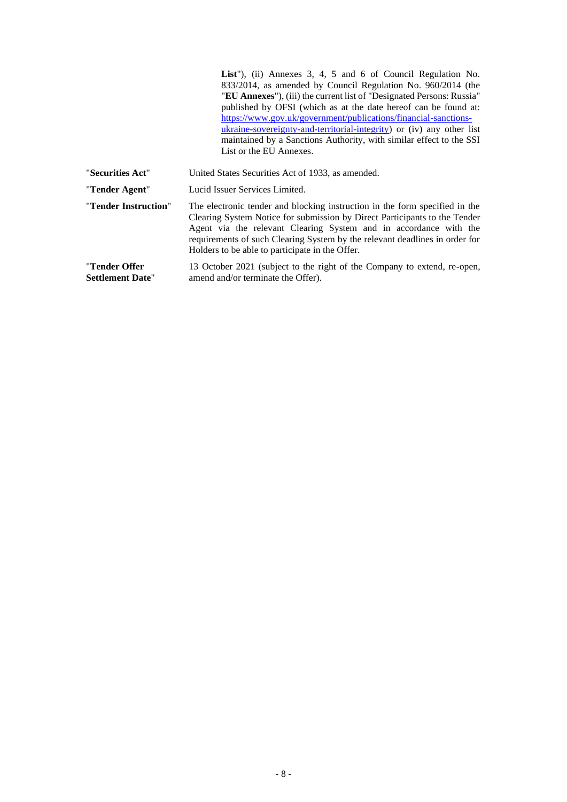|                                          | List"), (ii) Annexes 3, 4, 5 and 6 of Council Regulation No.<br>833/2014, as amended by Council Regulation No. 960/2014 (the<br>"EU Annexes"), (iii) the current list of "Designated Persons: Russia"<br>published by OFSI (which as at the date hereof can be found at:<br>https://www.gov.uk/government/publications/financial-sanctions-<br>ukraine-sovereignty-and-territorial-integrity) or (iv) any other list<br>maintained by a Sanctions Authority, with similar effect to the SSI<br>List or the EU Annexes. |  |
|------------------------------------------|------------------------------------------------------------------------------------------------------------------------------------------------------------------------------------------------------------------------------------------------------------------------------------------------------------------------------------------------------------------------------------------------------------------------------------------------------------------------------------------------------------------------|--|
| "Securities Act"                         | United States Securities Act of 1933, as amended.                                                                                                                                                                                                                                                                                                                                                                                                                                                                      |  |
| "Tender Agent"                           | Lucid Issuer Services Limited.                                                                                                                                                                                                                                                                                                                                                                                                                                                                                         |  |
| "Tender Instruction"                     | The electronic tender and blocking instruction in the form specified in the<br>Clearing System Notice for submission by Direct Participants to the Tender<br>Agent via the relevant Clearing System and in accordance with the<br>requirements of such Clearing System by the relevant deadlines in order for<br>Holders to be able to participate in the Offer.                                                                                                                                                       |  |
| "Tender Offer<br><b>Settlement Date"</b> | 13 October 2021 (subject to the right of the Company to extend, re-open,<br>amend and/or terminate the Offer).                                                                                                                                                                                                                                                                                                                                                                                                         |  |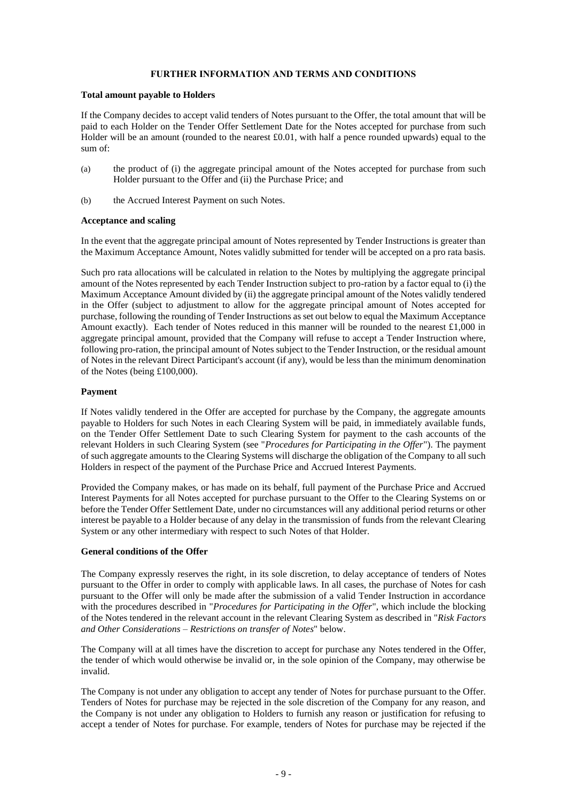# **FURTHER INFORMATION AND TERMS AND CONDITIONS**

#### **Total amount payable to Holders**

If the Company decides to accept valid tenders of Notes pursuant to the Offer, the total amount that will be paid to each Holder on the Tender Offer Settlement Date for the Notes accepted for purchase from such Holder will be an amount (rounded to the nearest £0.01, with half a pence rounded upwards) equal to the sum of:

- (a) the product of (i) the aggregate principal amount of the Notes accepted for purchase from such Holder pursuant to the Offer and (ii) the Purchase Price; and
- (b) the Accrued Interest Payment on such Notes.

#### **Acceptance and scaling**

In the event that the aggregate principal amount of Notes represented by Tender Instructions is greater than the Maximum Acceptance Amount, Notes validly submitted for tender will be accepted on a pro rata basis.

Such pro rata allocations will be calculated in relation to the Notes by multiplying the aggregate principal amount of the Notes represented by each Tender Instruction subject to pro-ration by a factor equal to (i) the Maximum Acceptance Amount divided by (ii) the aggregate principal amount of the Notes validly tendered in the Offer (subject to adjustment to allow for the aggregate principal amount of Notes accepted for purchase, following the rounding of Tender Instructions as set out below to equal the Maximum Acceptance Amount exactly). Each tender of Notes reduced in this manner will be rounded to the nearest £1,000 in aggregate principal amount, provided that the Company will refuse to accept a Tender Instruction where, following pro-ration, the principal amount of Notes subject to the Tender Instruction, or the residual amount of Notes in the relevant Direct Participant's account (if any), would be less than the minimum denomination of the Notes (being £100,000).

### **Payment**

If Notes validly tendered in the Offer are accepted for purchase by the Company, the aggregate amounts payable to Holders for such Notes in each Clearing System will be paid, in immediately available funds, on the Tender Offer Settlement Date to such Clearing System for payment to the cash accounts of the relevant Holders in such Clearing System (see "*Procedures for Participating in the Offer*"). The payment of such aggregate amounts to the Clearing Systems will discharge the obligation of the Company to all such Holders in respect of the payment of the Purchase Price and Accrued Interest Payments.

Provided the Company makes, or has made on its behalf, full payment of the Purchase Price and Accrued Interest Payments for all Notes accepted for purchase pursuant to the Offer to the Clearing Systems on or before the Tender Offer Settlement Date, under no circumstances will any additional period returns or other interest be payable to a Holder because of any delay in the transmission of funds from the relevant Clearing System or any other intermediary with respect to such Notes of that Holder.

#### **General conditions of the Offer**

The Company expressly reserves the right, in its sole discretion, to delay acceptance of tenders of Notes pursuant to the Offer in order to comply with applicable laws. In all cases, the purchase of Notes for cash pursuant to the Offer will only be made after the submission of a valid Tender Instruction in accordance with the procedures described in "*Procedures for Participating in the Offer*", which include the blocking of the Notes tendered in the relevant account in the relevant Clearing System as described in "*Risk Factors and Other Considerations – Restrictions on transfer of Notes*" below.

The Company will at all times have the discretion to accept for purchase any Notes tendered in the Offer, the tender of which would otherwise be invalid or, in the sole opinion of the Company, may otherwise be invalid.

The Company is not under any obligation to accept any tender of Notes for purchase pursuant to the Offer. Tenders of Notes for purchase may be rejected in the sole discretion of the Company for any reason, and the Company is not under any obligation to Holders to furnish any reason or justification for refusing to accept a tender of Notes for purchase. For example, tenders of Notes for purchase may be rejected if the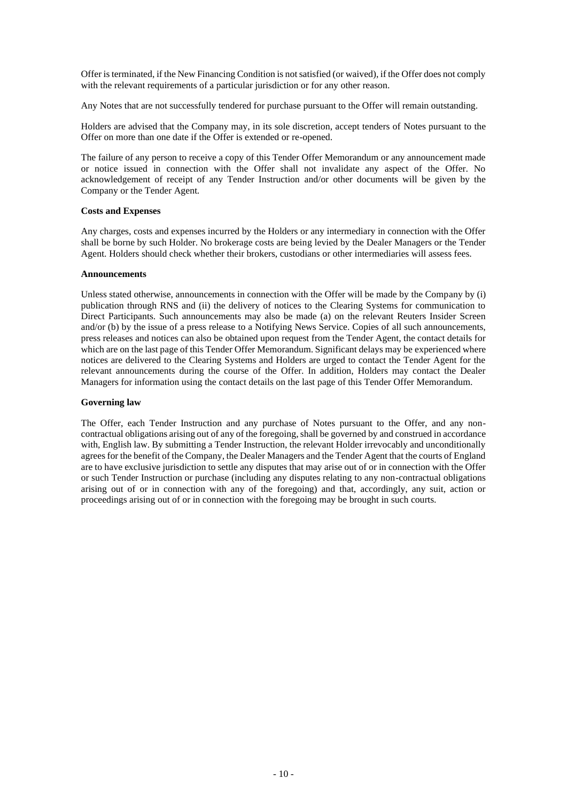Offer is terminated, if the New Financing Condition is not satisfied (or waived), if the Offer does not comply with the relevant requirements of a particular jurisdiction or for any other reason.

Any Notes that are not successfully tendered for purchase pursuant to the Offer will remain outstanding.

Holders are advised that the Company may, in its sole discretion, accept tenders of Notes pursuant to the Offer on more than one date if the Offer is extended or re-opened.

The failure of any person to receive a copy of this Tender Offer Memorandum or any announcement made or notice issued in connection with the Offer shall not invalidate any aspect of the Offer. No acknowledgement of receipt of any Tender Instruction and/or other documents will be given by the Company or the Tender Agent.

### **Costs and Expenses**

Any charges, costs and expenses incurred by the Holders or any intermediary in connection with the Offer shall be borne by such Holder. No brokerage costs are being levied by the Dealer Managers or the Tender Agent. Holders should check whether their brokers, custodians or other intermediaries will assess fees.

### **Announcements**

Unless stated otherwise, announcements in connection with the Offer will be made by the Company by (i) publication through RNS and (ii) the delivery of notices to the Clearing Systems for communication to Direct Participants. Such announcements may also be made (a) on the relevant Reuters Insider Screen and/or (b) by the issue of a press release to a Notifying News Service. Copies of all such announcements, press releases and notices can also be obtained upon request from the Tender Agent, the contact details for which are on the last page of this Tender Offer Memorandum. Significant delays may be experienced where notices are delivered to the Clearing Systems and Holders are urged to contact the Tender Agent for the relevant announcements during the course of the Offer. In addition, Holders may contact the Dealer Managers for information using the contact details on the last page of this Tender Offer Memorandum.

# **Governing law**

The Offer, each Tender Instruction and any purchase of Notes pursuant to the Offer, and any noncontractual obligations arising out of any of the foregoing, shall be governed by and construed in accordance with, English law. By submitting a Tender Instruction, the relevant Holder irrevocably and unconditionally agrees for the benefit of the Company, the Dealer Managers and the Tender Agent that the courts of England are to have exclusive jurisdiction to settle any disputes that may arise out of or in connection with the Offer or such Tender Instruction or purchase (including any disputes relating to any non-contractual obligations arising out of or in connection with any of the foregoing) and that, accordingly, any suit, action or proceedings arising out of or in connection with the foregoing may be brought in such courts.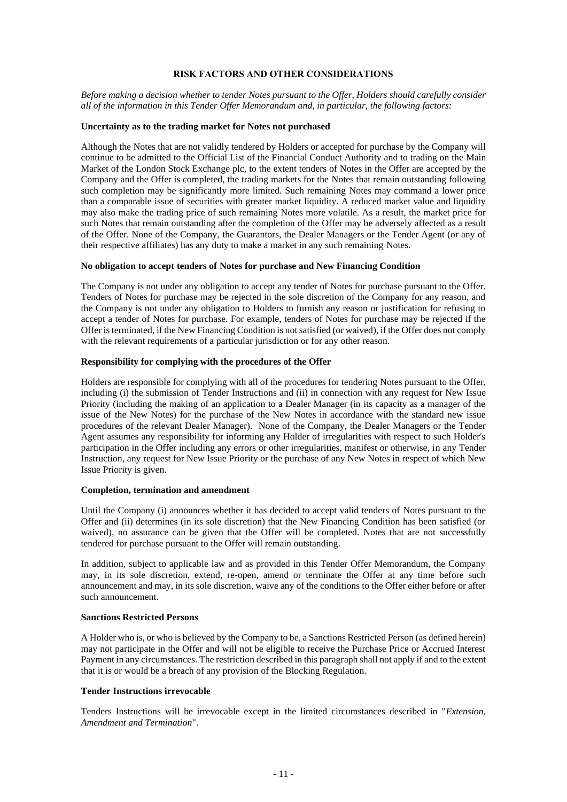# **RISK FACTORS AND OTHER CONSIDERATIONS**

*Before making a decision whether to tender Notes pursuant to the Offer, Holders should carefully consider all of the information in this Tender Offer Memorandum and, in particular, the following factors:*

### **Uncertainty as to the trading market for Notes not purchased**

Although the Notes that are not validly tendered by Holders or accepted for purchase by the Company will continue to be admitted to the Official List of the Financial Conduct Authority and to trading on the Main Market of the London Stock Exchange plc, to the extent tenders of Notes in the Offer are accepted by the Company and the Offer is completed, the trading markets for the Notes that remain outstanding following such completion may be significantly more limited. Such remaining Notes may command a lower price than a comparable issue of securities with greater market liquidity. A reduced market value and liquidity may also make the trading price of such remaining Notes more volatile. As a result, the market price for such Notes that remain outstanding after the completion of the Offer may be adversely affected as a result of the Offer. None of the Company, the Guarantors, the Dealer Managers or the Tender Agent (or any of their respective affiliates) has any duty to make a market in any such remaining Notes.

# **No obligation to accept tenders of Notes for purchase and New Financing Condition**

The Company is not under any obligation to accept any tender of Notes for purchase pursuant to the Offer. Tenders of Notes for purchase may be rejected in the sole discretion of the Company for any reason, and the Company is not under any obligation to Holders to furnish any reason or justification for refusing to accept a tender of Notes for purchase. For example, tenders of Notes for purchase may be rejected if the Offer is terminated, if the New Financing Condition is not satisfied (or waived), if the Offer does not comply with the relevant requirements of a particular jurisdiction or for any other reason.

### **Responsibility for complying with the procedures of the Offer**

Holders are responsible for complying with all of the procedures for tendering Notes pursuant to the Offer, including (i) the submission of Tender Instructions and (ii) in connection with any request for New Issue Priority (including the making of an application to a Dealer Manager (in its capacity as a manager of the issue of the New Notes) for the purchase of the New Notes in accordance with the standard new issue procedures of the relevant Dealer Manager). None of the Company, the Dealer Managers or the Tender Agent assumes any responsibility for informing any Holder of irregularities with respect to such Holder's participation in the Offer including any errors or other irregularities, manifest or otherwise, in any Tender Instruction, any request for New Issue Priority or the purchase of any New Notes in respect of which New Issue Priority is given.

#### **Completion, termination and amendment**

Until the Company (i) announces whether it has decided to accept valid tenders of Notes pursuant to the Offer and (ii) determines (in its sole discretion) that the New Financing Condition has been satisfied (or waived), no assurance can be given that the Offer will be completed. Notes that are not successfully tendered for purchase pursuant to the Offer will remain outstanding.

In addition, subject to applicable law and as provided in this Tender Offer Memorandum, the Company may, in its sole discretion, extend, re-open, amend or terminate the Offer at any time before such announcement and may, in its sole discretion, waive any of the conditions to the Offer either before or after such announcement.

#### **Sanctions Restricted Persons**

A Holder who is, or who is believed by the Company to be, a Sanctions Restricted Person (as defined herein) may not participate in the Offer and will not be eligible to receive the Purchase Price or Accrued Interest Payment in any circumstances. The restriction described in this paragraph shall not apply if and to the extent that it is or would be a breach of any provision of the Blocking Regulation.

# **Tender Instructions irrevocable**

Tenders Instructions will be irrevocable except in the limited circumstances described in "*Extension, Amendment and Termination*".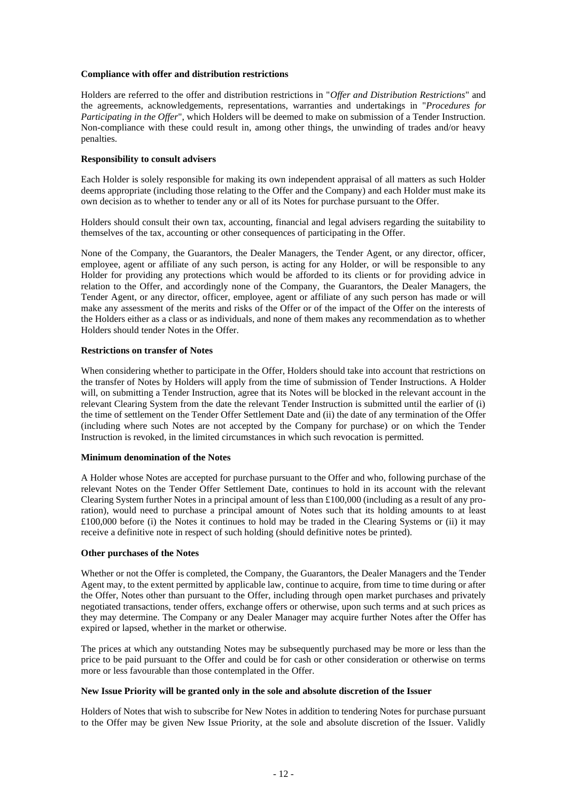## **Compliance with offer and distribution restrictions**

Holders are referred to the offer and distribution restrictions in "*Offer and Distribution Restrictions*" and the agreements, acknowledgements, representations, warranties and undertakings in "*Procedures for Participating in the Offer*", which Holders will be deemed to make on submission of a Tender Instruction. Non-compliance with these could result in, among other things, the unwinding of trades and/or heavy penalties.

### **Responsibility to consult advisers**

Each Holder is solely responsible for making its own independent appraisal of all matters as such Holder deems appropriate (including those relating to the Offer and the Company) and each Holder must make its own decision as to whether to tender any or all of its Notes for purchase pursuant to the Offer.

Holders should consult their own tax, accounting, financial and legal advisers regarding the suitability to themselves of the tax, accounting or other consequences of participating in the Offer.

None of the Company, the Guarantors, the Dealer Managers, the Tender Agent, or any director, officer, employee, agent or affiliate of any such person, is acting for any Holder, or will be responsible to any Holder for providing any protections which would be afforded to its clients or for providing advice in relation to the Offer, and accordingly none of the Company, the Guarantors, the Dealer Managers, the Tender Agent, or any director, officer, employee, agent or affiliate of any such person has made or will make any assessment of the merits and risks of the Offer or of the impact of the Offer on the interests of the Holders either as a class or as individuals, and none of them makes any recommendation as to whether Holders should tender Notes in the Offer.

### **Restrictions on transfer of Notes**

When considering whether to participate in the Offer, Holders should take into account that restrictions on the transfer of Notes by Holders will apply from the time of submission of Tender Instructions. A Holder will, on submitting a Tender Instruction, agree that its Notes will be blocked in the relevant account in the relevant Clearing System from the date the relevant Tender Instruction is submitted until the earlier of (i) the time of settlement on the Tender Offer Settlement Date and (ii) the date of any termination of the Offer (including where such Notes are not accepted by the Company for purchase) or on which the Tender Instruction is revoked, in the limited circumstances in which such revocation is permitted.

### **Minimum denomination of the Notes**

A Holder whose Notes are accepted for purchase pursuant to the Offer and who, following purchase of the relevant Notes on the Tender Offer Settlement Date, continues to hold in its account with the relevant Clearing System further Notes in a principal amount of less than £100,000 (including as a result of any proration), would need to purchase a principal amount of Notes such that its holding amounts to at least £100,000 before (i) the Notes it continues to hold may be traded in the Clearing Systems or (ii) it may receive a definitive note in respect of such holding (should definitive notes be printed).

#### **Other purchases of the Notes**

Whether or not the Offer is completed, the Company, the Guarantors, the Dealer Managers and the Tender Agent may, to the extent permitted by applicable law, continue to acquire, from time to time during or after the Offer, Notes other than pursuant to the Offer, including through open market purchases and privately negotiated transactions, tender offers, exchange offers or otherwise, upon such terms and at such prices as they may determine. The Company or any Dealer Manager may acquire further Notes after the Offer has expired or lapsed, whether in the market or otherwise.

The prices at which any outstanding Notes may be subsequently purchased may be more or less than the price to be paid pursuant to the Offer and could be for cash or other consideration or otherwise on terms more or less favourable than those contemplated in the Offer.

# **New Issue Priority will be granted only in the sole and absolute discretion of the Issuer**

Holders of Notes that wish to subscribe for New Notes in addition to tendering Notes for purchase pursuant to the Offer may be given New Issue Priority, at the sole and absolute discretion of the Issuer. Validly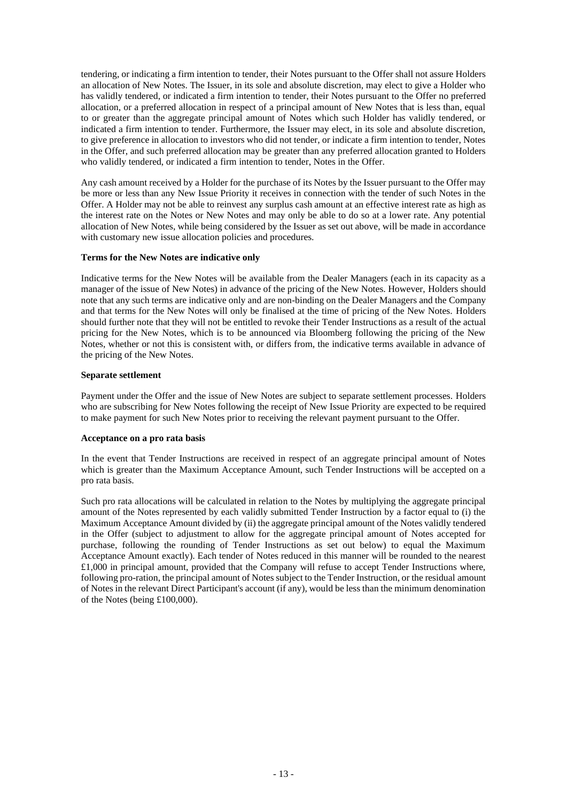tendering, or indicating a firm intention to tender, their Notes pursuant to the Offer shall not assure Holders an allocation of New Notes. The Issuer, in its sole and absolute discretion, may elect to give a Holder who has validly tendered, or indicated a firm intention to tender, their Notes pursuant to the Offer no preferred allocation, or a preferred allocation in respect of a principal amount of New Notes that is less than, equal to or greater than the aggregate principal amount of Notes which such Holder has validly tendered, or indicated a firm intention to tender. Furthermore, the Issuer may elect, in its sole and absolute discretion, to give preference in allocation to investors who did not tender, or indicate a firm intention to tender, Notes in the Offer, and such preferred allocation may be greater than any preferred allocation granted to Holders who validly tendered, or indicated a firm intention to tender, Notes in the Offer.

Any cash amount received by a Holder for the purchase of its Notes by the Issuer pursuant to the Offer may be more or less than any New Issue Priority it receives in connection with the tender of such Notes in the Offer. A Holder may not be able to reinvest any surplus cash amount at an effective interest rate as high as the interest rate on the Notes or New Notes and may only be able to do so at a lower rate. Any potential allocation of New Notes, while being considered by the Issuer as set out above, will be made in accordance with customary new issue allocation policies and procedures.

# **Terms for the New Notes are indicative only**

Indicative terms for the New Notes will be available from the Dealer Managers (each in its capacity as a manager of the issue of New Notes) in advance of the pricing of the New Notes. However, Holders should note that any such terms are indicative only and are non-binding on the Dealer Managers and the Company and that terms for the New Notes will only be finalised at the time of pricing of the New Notes. Holders should further note that they will not be entitled to revoke their Tender Instructions as a result of the actual pricing for the New Notes, which is to be announced via Bloomberg following the pricing of the New Notes, whether or not this is consistent with, or differs from, the indicative terms available in advance of the pricing of the New Notes.

# **Separate settlement**

Payment under the Offer and the issue of New Notes are subject to separate settlement processes. Holders who are subscribing for New Notes following the receipt of New Issue Priority are expected to be required to make payment for such New Notes prior to receiving the relevant payment pursuant to the Offer.

# **Acceptance on a pro rata basis**

In the event that Tender Instructions are received in respect of an aggregate principal amount of Notes which is greater than the Maximum Acceptance Amount, such Tender Instructions will be accepted on a pro rata basis.

Such pro rata allocations will be calculated in relation to the Notes by multiplying the aggregate principal amount of the Notes represented by each validly submitted Tender Instruction by a factor equal to (i) the Maximum Acceptance Amount divided by (ii) the aggregate principal amount of the Notes validly tendered in the Offer (subject to adjustment to allow for the aggregate principal amount of Notes accepted for purchase, following the rounding of Tender Instructions as set out below) to equal the Maximum Acceptance Amount exactly). Each tender of Notes reduced in this manner will be rounded to the nearest £1,000 in principal amount, provided that the Company will refuse to accept Tender Instructions where, following pro-ration, the principal amount of Notes subject to the Tender Instruction, or the residual amount of Notes in the relevant Direct Participant's account (if any), would be less than the minimum denomination of the Notes (being £100,000).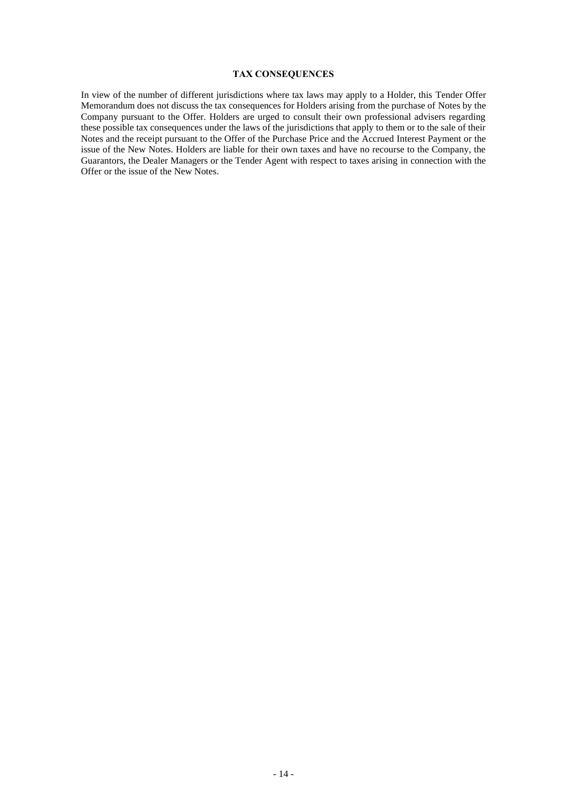## **TAX CONSEQUENCES**

In view of the number of different jurisdictions where tax laws may apply to a Holder, this Tender Offer Memorandum does not discuss the tax consequences for Holders arising from the purchase of Notes by the Company pursuant to the Offer. Holders are urged to consult their own professional advisers regarding these possible tax consequences under the laws of the jurisdictions that apply to them or to the sale of their Notes and the receipt pursuant to the Offer of the Purchase Price and the Accrued Interest Payment or the issue of the New Notes. Holders are liable for their own taxes and have no recourse to the Company, the Guarantors, the Dealer Managers or the Tender Agent with respect to taxes arising in connection with the Offer or the issue of the New Notes.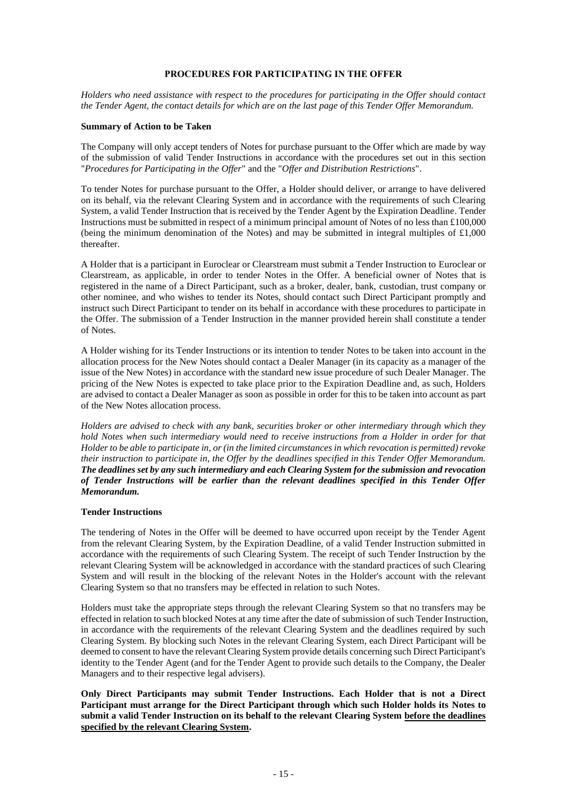# **PROCEDURES FOR PARTICIPATING IN THE OFFER**

*Holders who need assistance with respect to the procedures for participating in the Offer should contact the Tender Agent, the contact details for which are on the last page of this Tender Offer Memorandum.*

# **Summary of Action to be Taken**

The Company will only accept tenders of Notes for purchase pursuant to the Offer which are made by way of the submission of valid Tender Instructions in accordance with the procedures set out in this section "*Procedures for Participating in the Offer*" and the "*Offer and Distribution Restrictions*".

To tender Notes for purchase pursuant to the Offer, a Holder should deliver, or arrange to have delivered on its behalf, via the relevant Clearing System and in accordance with the requirements of such Clearing System, a valid Tender Instruction that is received by the Tender Agent by the Expiration Deadline. Tender Instructions must be submitted in respect of a minimum principal amount of Notes of no less than £100,000 (being the minimum denomination of the Notes) and may be submitted in integral multiples of  $\pounds1,000$ thereafter.

A Holder that is a participant in Euroclear or Clearstream must submit a Tender Instruction to Euroclear or Clearstream, as applicable, in order to tender Notes in the Offer. A beneficial owner of Notes that is registered in the name of a Direct Participant, such as a broker, dealer, bank, custodian, trust company or other nominee, and who wishes to tender its Notes, should contact such Direct Participant promptly and instruct such Direct Participant to tender on its behalf in accordance with these procedures to participate in the Offer. The submission of a Tender Instruction in the manner provided herein shall constitute a tender of Notes.

A Holder wishing for its Tender Instructions or its intention to tender Notes to be taken into account in the allocation process for the New Notes should contact a Dealer Manager (in its capacity as a manager of the issue of the New Notes) in accordance with the standard new issue procedure of such Dealer Manager. The pricing of the New Notes is expected to take place prior to the Expiration Deadline and, as such, Holders are advised to contact a Dealer Manager as soon as possible in order for this to be taken into account as part of the New Notes allocation process.

*Holders are advised to check with any bank, securities broker or other intermediary through which they hold Notes when such intermediary would need to receive instructions from a Holder in order for that Holder to be able to participate in, or (in the limited circumstances in which revocation is permitted) revoke their instruction to participate in, the Offer by the deadlines specified in this Tender Offer Memorandum. The deadlines set by any such intermediary and each Clearing System for the submission and revocation of Tender Instructions will be earlier than the relevant deadlines specified in this Tender Offer Memorandum.*

#### **Tender Instructions**

The tendering of Notes in the Offer will be deemed to have occurred upon receipt by the Tender Agent from the relevant Clearing System, by the Expiration Deadline, of a valid Tender Instruction submitted in accordance with the requirements of such Clearing System. The receipt of such Tender Instruction by the relevant Clearing System will be acknowledged in accordance with the standard practices of such Clearing System and will result in the blocking of the relevant Notes in the Holder's account with the relevant Clearing System so that no transfers may be effected in relation to such Notes.

Holders must take the appropriate steps through the relevant Clearing System so that no transfers may be effected in relation to such blocked Notes at any time after the date of submission of such Tender Instruction, in accordance with the requirements of the relevant Clearing System and the deadlines required by such Clearing System. By blocking such Notes in the relevant Clearing System, each Direct Participant will be deemed to consent to have the relevant Clearing System provide details concerning such Direct Participant's identity to the Tender Agent (and for the Tender Agent to provide such details to the Company, the Dealer Managers and to their respective legal advisers).

**Only Direct Participants may submit Tender Instructions. Each Holder that is not a Direct Participant must arrange for the Direct Participant through which such Holder holds its Notes to submit a valid Tender Instruction on its behalf to the relevant Clearing System before the deadlines specified by the relevant Clearing System.**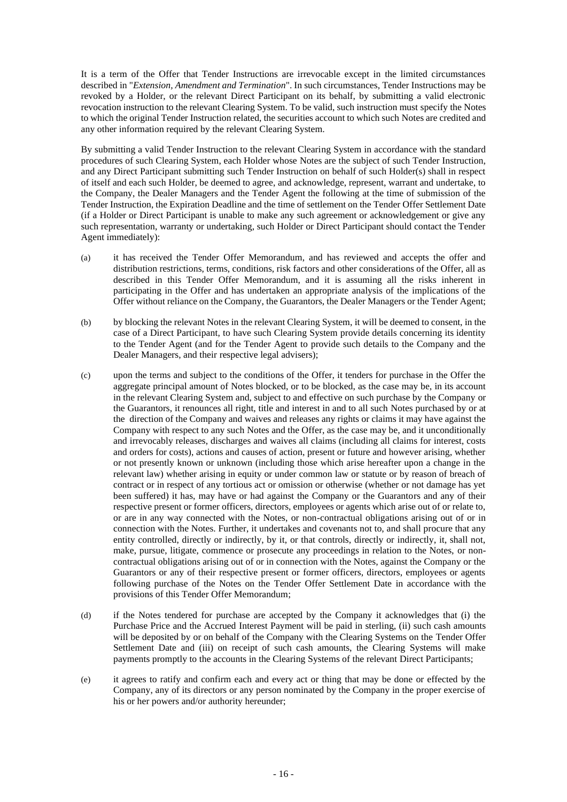It is a term of the Offer that Tender Instructions are irrevocable except in the limited circumstances described in "*Extension, Amendment and Termination*". In such circumstances, Tender Instructions may be revoked by a Holder, or the relevant Direct Participant on its behalf, by submitting a valid electronic revocation instruction to the relevant Clearing System. To be valid, such instruction must specify the Notes to which the original Tender Instruction related, the securities account to which such Notes are credited and any other information required by the relevant Clearing System.

By submitting a valid Tender Instruction to the relevant Clearing System in accordance with the standard procedures of such Clearing System, each Holder whose Notes are the subject of such Tender Instruction, and any Direct Participant submitting such Tender Instruction on behalf of such Holder(s) shall in respect of itself and each such Holder, be deemed to agree, and acknowledge, represent, warrant and undertake, to the Company, the Dealer Managers and the Tender Agent the following at the time of submission of the Tender Instruction, the Expiration Deadline and the time of settlement on the Tender Offer Settlement Date (if a Holder or Direct Participant is unable to make any such agreement or acknowledgement or give any such representation, warranty or undertaking, such Holder or Direct Participant should contact the Tender Agent immediately):

- (a) it has received the Tender Offer Memorandum, and has reviewed and accepts the offer and distribution restrictions, terms, conditions, risk factors and other considerations of the Offer, all as described in this Tender Offer Memorandum, and it is assuming all the risks inherent in participating in the Offer and has undertaken an appropriate analysis of the implications of the Offer without reliance on the Company, the Guarantors, the Dealer Managers or the Tender Agent;
- (b) by blocking the relevant Notes in the relevant Clearing System, it will be deemed to consent, in the case of a Direct Participant, to have such Clearing System provide details concerning its identity to the Tender Agent (and for the Tender Agent to provide such details to the Company and the Dealer Managers, and their respective legal advisers);
- (c) upon the terms and subject to the conditions of the Offer, it tenders for purchase in the Offer the aggregate principal amount of Notes blocked, or to be blocked, as the case may be, in its account in the relevant Clearing System and, subject to and effective on such purchase by the Company or the Guarantors, it renounces all right, title and interest in and to all such Notes purchased by or at the direction of the Company and waives and releases any rights or claims it may have against the Company with respect to any such Notes and the Offer, as the case may be, and it unconditionally and irrevocably releases, discharges and waives all claims (including all claims for interest, costs and orders for costs), actions and causes of action, present or future and however arising, whether or not presently known or unknown (including those which arise hereafter upon a change in the relevant law) whether arising in equity or under common law or statute or by reason of breach of contract or in respect of any tortious act or omission or otherwise (whether or not damage has yet been suffered) it has, may have or had against the Company or the Guarantors and any of their respective present or former officers, directors, employees or agents which arise out of or relate to, or are in any way connected with the Notes, or non-contractual obligations arising out of or in connection with the Notes. Further, it undertakes and covenants not to, and shall procure that any entity controlled, directly or indirectly, by it, or that controls, directly or indirectly, it, shall not, make, pursue, litigate, commence or prosecute any proceedings in relation to the Notes, or noncontractual obligations arising out of or in connection with the Notes, against the Company or the Guarantors or any of their respective present or former officers, directors, employees or agents following purchase of the Notes on the Tender Offer Settlement Date in accordance with the provisions of this Tender Offer Memorandum;
- (d) if the Notes tendered for purchase are accepted by the Company it acknowledges that (i) the Purchase Price and the Accrued Interest Payment will be paid in sterling, (ii) such cash amounts will be deposited by or on behalf of the Company with the Clearing Systems on the Tender Offer Settlement Date and (iii) on receipt of such cash amounts, the Clearing Systems will make payments promptly to the accounts in the Clearing Systems of the relevant Direct Participants;
- (e) it agrees to ratify and confirm each and every act or thing that may be done or effected by the Company, any of its directors or any person nominated by the Company in the proper exercise of his or her powers and/or authority hereunder;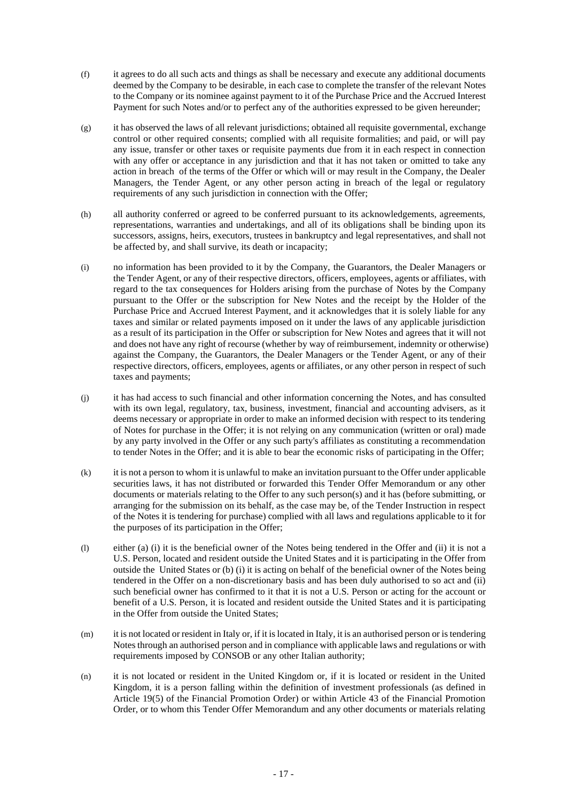- (f) it agrees to do all such acts and things as shall be necessary and execute any additional documents deemed by the Company to be desirable, in each case to complete the transfer of the relevant Notes to the Company or its nominee against payment to it of the Purchase Price and the Accrued Interest Payment for such Notes and/or to perfect any of the authorities expressed to be given hereunder;
- (g) it has observed the laws of all relevant jurisdictions; obtained all requisite governmental, exchange control or other required consents; complied with all requisite formalities; and paid, or will pay any issue, transfer or other taxes or requisite payments due from it in each respect in connection with any offer or acceptance in any jurisdiction and that it has not taken or omitted to take any action in breach of the terms of the Offer or which will or may result in the Company, the Dealer Managers, the Tender Agent, or any other person acting in breach of the legal or regulatory requirements of any such jurisdiction in connection with the Offer;
- (h) all authority conferred or agreed to be conferred pursuant to its acknowledgements, agreements, representations, warranties and undertakings, and all of its obligations shall be binding upon its successors, assigns, heirs, executors, trustees in bankruptcy and legal representatives, and shall not be affected by, and shall survive, its death or incapacity;
- (i) no information has been provided to it by the Company, the Guarantors, the Dealer Managers or the Tender Agent, or any of their respective directors, officers, employees, agents or affiliates, with regard to the tax consequences for Holders arising from the purchase of Notes by the Company pursuant to the Offer or the subscription for New Notes and the receipt by the Holder of the Purchase Price and Accrued Interest Payment, and it acknowledges that it is solely liable for any taxes and similar or related payments imposed on it under the laws of any applicable jurisdiction as a result of its participation in the Offer or subscription for New Notes and agrees that it will not and does not have any right of recourse (whether by way of reimbursement, indemnity or otherwise) against the Company, the Guarantors, the Dealer Managers or the Tender Agent, or any of their respective directors, officers, employees, agents or affiliates, or any other person in respect of such taxes and payments;
- (j) it has had access to such financial and other information concerning the Notes, and has consulted with its own legal, regulatory, tax, business, investment, financial and accounting advisers, as it deems necessary or appropriate in order to make an informed decision with respect to its tendering of Notes for purchase in the Offer; it is not relying on any communication (written or oral) made by any party involved in the Offer or any such party's affiliates as constituting a recommendation to tender Notes in the Offer; and it is able to bear the economic risks of participating in the Offer;
- (k) it is not a person to whom it is unlawful to make an invitation pursuant to the Offer under applicable securities laws, it has not distributed or forwarded this Tender Offer Memorandum or any other documents or materials relating to the Offer to any such person(s) and it has (before submitting, or arranging for the submission on its behalf, as the case may be, of the Tender Instruction in respect of the Notes it is tendering for purchase) complied with all laws and regulations applicable to it for the purposes of its participation in the Offer;
- (l) either (a) (i) it is the beneficial owner of the Notes being tendered in the Offer and (ii) it is not a U.S. Person, located and resident outside the United States and it is participating in the Offer from outside the United States or (b) (i) it is acting on behalf of the beneficial owner of the Notes being tendered in the Offer on a non-discretionary basis and has been duly authorised to so act and (ii) such beneficial owner has confirmed to it that it is not a U.S. Person or acting for the account or benefit of a U.S. Person, it is located and resident outside the United States and it is participating in the Offer from outside the United States;
- (m) it is not located or resident in Italy or, if it is located in Italy, it is an authorised person or is tendering Notes through an authorised person and in compliance with applicable laws and regulations or with requirements imposed by CONSOB or any other Italian authority;
- (n) it is not located or resident in the United Kingdom or, if it is located or resident in the United Kingdom, it is a person falling within the definition of investment professionals (as defined in Article 19(5) of the Financial Promotion Order) or within Article 43 of the Financial Promotion Order, or to whom this Tender Offer Memorandum and any other documents or materials relating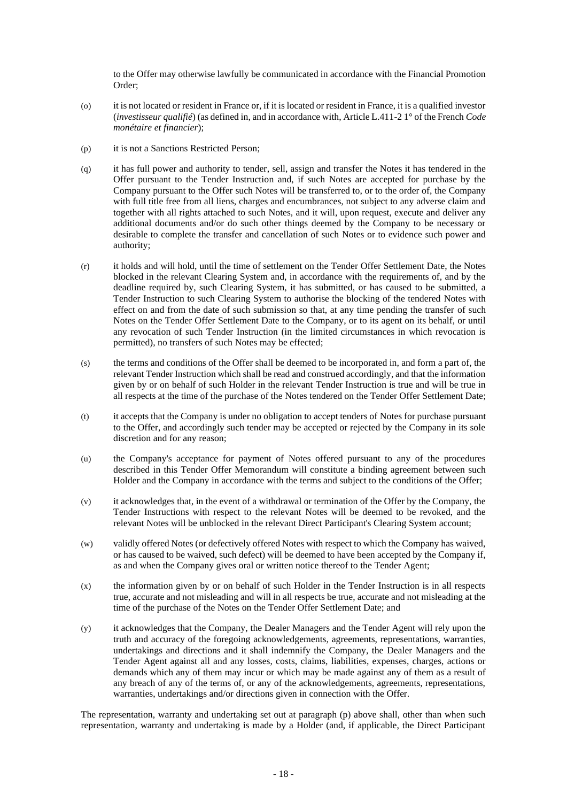to the Offer may otherwise lawfully be communicated in accordance with the Financial Promotion Order;

- (o) it is not located or resident in France or, if it is located or resident in France, it is a qualified investor (*investisseur qualifié*) (as defined in, and in accordance with, Article L.411-2 1° of the French *Code monétaire et financier*);
- (p) it is not a Sanctions Restricted Person;
- (q) it has full power and authority to tender, sell, assign and transfer the Notes it has tendered in the Offer pursuant to the Tender Instruction and, if such Notes are accepted for purchase by the Company pursuant to the Offer such Notes will be transferred to, or to the order of, the Company with full title free from all liens, charges and encumbrances, not subject to any adverse claim and together with all rights attached to such Notes, and it will, upon request, execute and deliver any additional documents and/or do such other things deemed by the Company to be necessary or desirable to complete the transfer and cancellation of such Notes or to evidence such power and authority;
- (r) it holds and will hold, until the time of settlement on the Tender Offer Settlement Date, the Notes blocked in the relevant Clearing System and, in accordance with the requirements of, and by the deadline required by, such Clearing System, it has submitted, or has caused to be submitted, a Tender Instruction to such Clearing System to authorise the blocking of the tendered Notes with effect on and from the date of such submission so that, at any time pending the transfer of such Notes on the Tender Offer Settlement Date to the Company, or to its agent on its behalf, or until any revocation of such Tender Instruction (in the limited circumstances in which revocation is permitted), no transfers of such Notes may be effected;
- (s) the terms and conditions of the Offer shall be deemed to be incorporated in, and form a part of, the relevant Tender Instruction which shall be read and construed accordingly, and that the information given by or on behalf of such Holder in the relevant Tender Instruction is true and will be true in all respects at the time of the purchase of the Notes tendered on the Tender Offer Settlement Date;
- (t) it accepts that the Company is under no obligation to accept tenders of Notes for purchase pursuant to the Offer, and accordingly such tender may be accepted or rejected by the Company in its sole discretion and for any reason;
- (u) the Company's acceptance for payment of Notes offered pursuant to any of the procedures described in this Tender Offer Memorandum will constitute a binding agreement between such Holder and the Company in accordance with the terms and subject to the conditions of the Offer;
- (v) it acknowledges that, in the event of a withdrawal or termination of the Offer by the Company, the Tender Instructions with respect to the relevant Notes will be deemed to be revoked, and the relevant Notes will be unblocked in the relevant Direct Participant's Clearing System account;
- (w) validly offered Notes (or defectively offered Notes with respect to which the Company has waived, or has caused to be waived, such defect) will be deemed to have been accepted by the Company if, as and when the Company gives oral or written notice thereof to the Tender Agent;
- (x) the information given by or on behalf of such Holder in the Tender Instruction is in all respects true, accurate and not misleading and will in all respects be true, accurate and not misleading at the time of the purchase of the Notes on the Tender Offer Settlement Date; and
- (y) it acknowledges that the Company, the Dealer Managers and the Tender Agent will rely upon the truth and accuracy of the foregoing acknowledgements, agreements, representations, warranties, undertakings and directions and it shall indemnify the Company, the Dealer Managers and the Tender Agent against all and any losses, costs, claims, liabilities, expenses, charges, actions or demands which any of them may incur or which may be made against any of them as a result of any breach of any of the terms of, or any of the acknowledgements, agreements, representations, warranties, undertakings and/or directions given in connection with the Offer.

The representation, warranty and undertaking set out at paragraph (p) above shall, other than when such representation, warranty and undertaking is made by a Holder (and, if applicable, the Direct Participant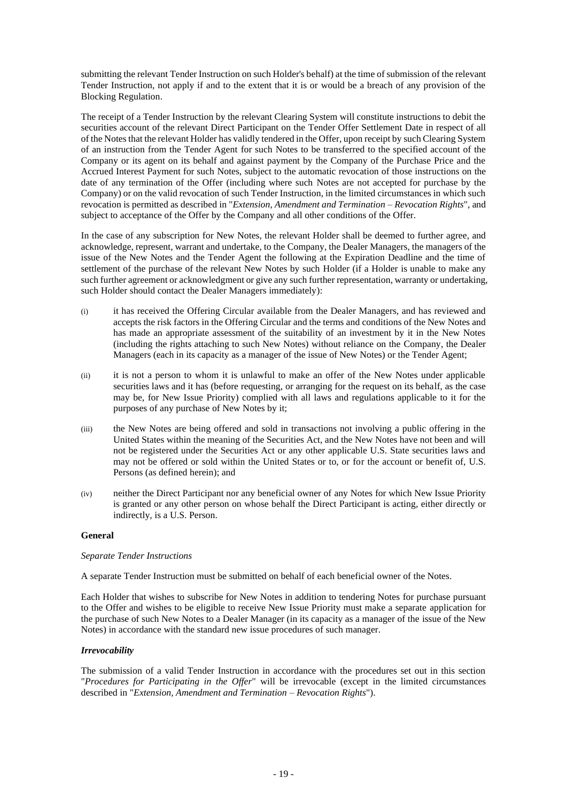submitting the relevant Tender Instruction on such Holder's behalf) at the time of submission of the relevant Tender Instruction, not apply if and to the extent that it is or would be a breach of any provision of the Blocking Regulation.

The receipt of a Tender Instruction by the relevant Clearing System will constitute instructions to debit the securities account of the relevant Direct Participant on the Tender Offer Settlement Date in respect of all of the Notesthat the relevant Holder has validly tendered in the Offer, upon receipt by such Clearing System of an instruction from the Tender Agent for such Notes to be transferred to the specified account of the Company or its agent on its behalf and against payment by the Company of the Purchase Price and the Accrued Interest Payment for such Notes, subject to the automatic revocation of those instructions on the date of any termination of the Offer (including where such Notes are not accepted for purchase by the Company) or on the valid revocation of such Tender Instruction, in the limited circumstances in which such revocation is permitted as described in "*Extension, Amendment and Termination – Revocation Rights*", and subject to acceptance of the Offer by the Company and all other conditions of the Offer.

In the case of any subscription for New Notes, the relevant Holder shall be deemed to further agree, and acknowledge, represent, warrant and undertake, to the Company, the Dealer Managers, the managers of the issue of the New Notes and the Tender Agent the following at the Expiration Deadline and the time of settlement of the purchase of the relevant New Notes by such Holder (if a Holder is unable to make any such further agreement or acknowledgment or give any such further representation, warranty or undertaking, such Holder should contact the Dealer Managers immediately):

- (i) it has received the Offering Circular available from the Dealer Managers, and has reviewed and accepts the risk factors in the Offering Circular and the terms and conditions of the New Notes and has made an appropriate assessment of the suitability of an investment by it in the New Notes (including the rights attaching to such New Notes) without reliance on the Company, the Dealer Managers (each in its capacity as a manager of the issue of New Notes) or the Tender Agent;
- (ii) it is not a person to whom it is unlawful to make an offer of the New Notes under applicable securities laws and it has (before requesting, or arranging for the request on its behalf, as the case may be, for New Issue Priority) complied with all laws and regulations applicable to it for the purposes of any purchase of New Notes by it;
- (iii) the New Notes are being offered and sold in transactions not involving a public offering in the United States within the meaning of the Securities Act, and the New Notes have not been and will not be registered under the Securities Act or any other applicable U.S. State securities laws and may not be offered or sold within the United States or to, or for the account or benefit of, U.S. Persons (as defined herein); and
- (iv) neither the Direct Participant nor any beneficial owner of any Notes for which New Issue Priority is granted or any other person on whose behalf the Direct Participant is acting, either directly or indirectly, is a U.S. Person.

# **General**

# *Separate Tender Instructions*

A separate Tender Instruction must be submitted on behalf of each beneficial owner of the Notes.

Each Holder that wishes to subscribe for New Notes in addition to tendering Notes for purchase pursuant to the Offer and wishes to be eligible to receive New Issue Priority must make a separate application for the purchase of such New Notes to a Dealer Manager (in its capacity as a manager of the issue of the New Notes) in accordance with the standard new issue procedures of such manager.

# *Irrevocability*

The submission of a valid Tender Instruction in accordance with the procedures set out in this section "*Procedures for Participating in the Offer*" will be irrevocable (except in the limited circumstances described in "*Extension, Amendment and Termination – Revocation Rights*").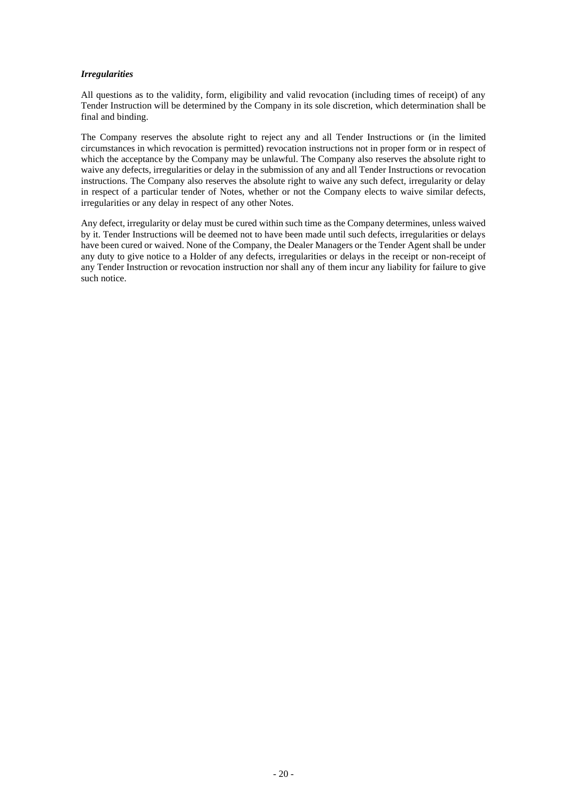# *Irregularities*

All questions as to the validity, form, eligibility and valid revocation (including times of receipt) of any Tender Instruction will be determined by the Company in its sole discretion, which determination shall be final and binding.

The Company reserves the absolute right to reject any and all Tender Instructions or (in the limited circumstances in which revocation is permitted) revocation instructions not in proper form or in respect of which the acceptance by the Company may be unlawful. The Company also reserves the absolute right to waive any defects, irregularities or delay in the submission of any and all Tender Instructions or revocation instructions. The Company also reserves the absolute right to waive any such defect, irregularity or delay in respect of a particular tender of Notes, whether or not the Company elects to waive similar defects, irregularities or any delay in respect of any other Notes.

Any defect, irregularity or delay must be cured within such time as the Company determines, unless waived by it. Tender Instructions will be deemed not to have been made until such defects, irregularities or delays have been cured or waived. None of the Company, the Dealer Managers or the Tender Agent shall be under any duty to give notice to a Holder of any defects, irregularities or delays in the receipt or non-receipt of any Tender Instruction or revocation instruction nor shall any of them incur any liability for failure to give such notice.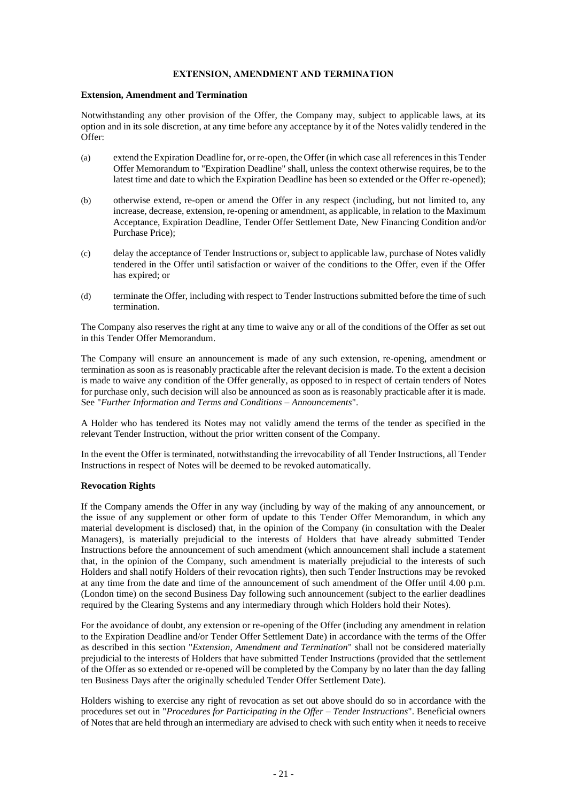# **EXTENSION, AMENDMENT AND TERMINATION**

### **Extension, Amendment and Termination**

Notwithstanding any other provision of the Offer, the Company may, subject to applicable laws, at its option and in its sole discretion, at any time before any acceptance by it of the Notes validly tendered in the Offer:

- (a) extend the Expiration Deadline for, or re-open, the Offer (in which case all references in this Tender Offer Memorandum to "Expiration Deadline" shall, unless the context otherwise requires, be to the latest time and date to which the Expiration Deadline has been so extended or the Offer re-opened);
- (b) otherwise extend, re-open or amend the Offer in any respect (including, but not limited to, any increase, decrease, extension, re-opening or amendment, as applicable, in relation to the Maximum Acceptance, Expiration Deadline, Tender Offer Settlement Date, New Financing Condition and/or Purchase Price);
- (c) delay the acceptance of Tender Instructions or, subject to applicable law, purchase of Notes validly tendered in the Offer until satisfaction or waiver of the conditions to the Offer, even if the Offer has expired; or
- (d) terminate the Offer, including with respect to Tender Instructions submitted before the time of such termination.

The Company also reserves the right at any time to waive any or all of the conditions of the Offer as set out in this Tender Offer Memorandum.

The Company will ensure an announcement is made of any such extension, re-opening, amendment or termination as soon as is reasonably practicable after the relevant decision is made. To the extent a decision is made to waive any condition of the Offer generally, as opposed to in respect of certain tenders of Notes for purchase only, such decision will also be announced as soon as is reasonably practicable after it is made. See "*Further Information and Terms and Conditions – Announcements*".

A Holder who has tendered its Notes may not validly amend the terms of the tender as specified in the relevant Tender Instruction, without the prior written consent of the Company.

In the event the Offer is terminated, notwithstanding the irrevocability of all Tender Instructions, all Tender Instructions in respect of Notes will be deemed to be revoked automatically.

# **Revocation Rights**

If the Company amends the Offer in any way (including by way of the making of any announcement, or the issue of any supplement or other form of update to this Tender Offer Memorandum, in which any material development is disclosed) that, in the opinion of the Company (in consultation with the Dealer Managers), is materially prejudicial to the interests of Holders that have already submitted Tender Instructions before the announcement of such amendment (which announcement shall include a statement that, in the opinion of the Company, such amendment is materially prejudicial to the interests of such Holders and shall notify Holders of their revocation rights), then such Tender Instructions may be revoked at any time from the date and time of the announcement of such amendment of the Offer until 4.00 p.m. (London time) on the second Business Day following such announcement (subject to the earlier deadlines required by the Clearing Systems and any intermediary through which Holders hold their Notes).

For the avoidance of doubt, any extension or re-opening of the Offer (including any amendment in relation to the Expiration Deadline and/or Tender Offer Settlement Date) in accordance with the terms of the Offer as described in this section "*Extension, Amendment and Termination*" shall not be considered materially prejudicial to the interests of Holders that have submitted Tender Instructions (provided that the settlement of the Offer as so extended or re-opened will be completed by the Company by no later than the day falling ten Business Days after the originally scheduled Tender Offer Settlement Date).

Holders wishing to exercise any right of revocation as set out above should do so in accordance with the procedures set out in "*Procedures for Participating in the Offer – Tender Instructions*". Beneficial owners of Notes that are held through an intermediary are advised to check with such entity when it needs to receive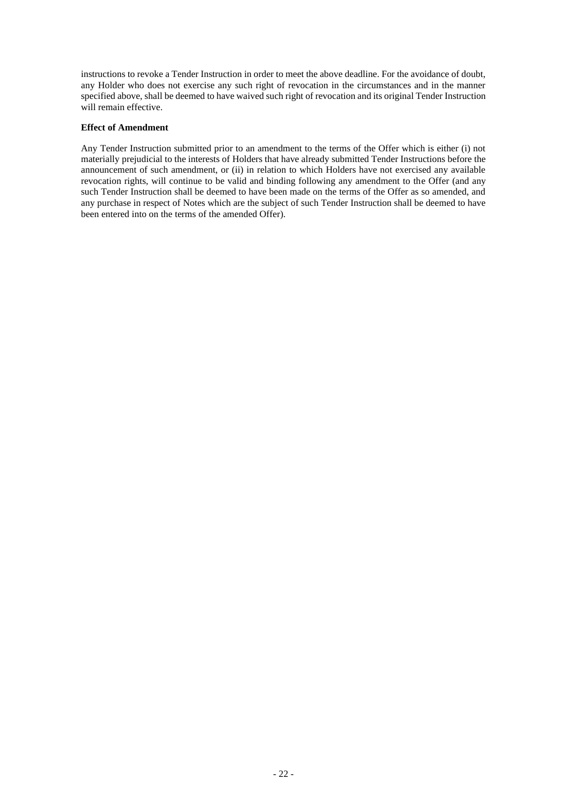instructions to revoke a Tender Instruction in order to meet the above deadline. For the avoidance of doubt, any Holder who does not exercise any such right of revocation in the circumstances and in the manner specified above, shall be deemed to have waived such right of revocation and its original Tender Instruction will remain effective.

### **Effect of Amendment**

Any Tender Instruction submitted prior to an amendment to the terms of the Offer which is either (i) not materially prejudicial to the interests of Holders that have already submitted Tender Instructions before the announcement of such amendment, or (ii) in relation to which Holders have not exercised any available revocation rights, will continue to be valid and binding following any amendment to the Offer (and any such Tender Instruction shall be deemed to have been made on the terms of the Offer as so amended, and any purchase in respect of Notes which are the subject of such Tender Instruction shall be deemed to have been entered into on the terms of the amended Offer).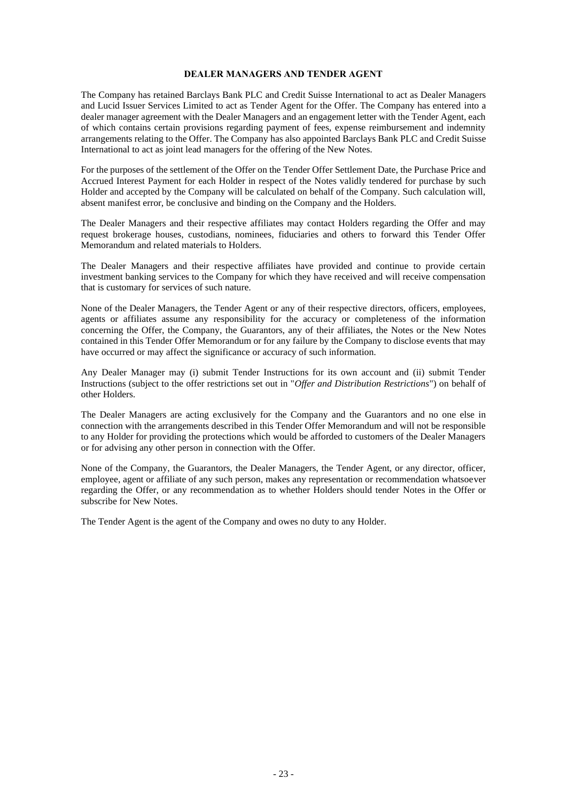## **DEALER MANAGERS AND TENDER AGENT**

The Company has retained Barclays Bank PLC and Credit Suisse International to act as Dealer Managers and Lucid Issuer Services Limited to act as Tender Agent for the Offer. The Company has entered into a dealer manager agreement with the Dealer Managers and an engagement letter with the Tender Agent, each of which contains certain provisions regarding payment of fees, expense reimbursement and indemnity arrangements relating to the Offer. The Company has also appointed Barclays Bank PLC and Credit Suisse International to act as joint lead managers for the offering of the New Notes.

For the purposes of the settlement of the Offer on the Tender Offer Settlement Date, the Purchase Price and Accrued Interest Payment for each Holder in respect of the Notes validly tendered for purchase by such Holder and accepted by the Company will be calculated on behalf of the Company. Such calculation will, absent manifest error, be conclusive and binding on the Company and the Holders.

The Dealer Managers and their respective affiliates may contact Holders regarding the Offer and may request brokerage houses, custodians, nominees, fiduciaries and others to forward this Tender Offer Memorandum and related materials to Holders.

The Dealer Managers and their respective affiliates have provided and continue to provide certain investment banking services to the Company for which they have received and will receive compensation that is customary for services of such nature.

None of the Dealer Managers, the Tender Agent or any of their respective directors, officers, employees, agents or affiliates assume any responsibility for the accuracy or completeness of the information concerning the Offer, the Company, the Guarantors, any of their affiliates, the Notes or the New Notes contained in this Tender Offer Memorandum or for any failure by the Company to disclose events that may have occurred or may affect the significance or accuracy of such information.

Any Dealer Manager may (i) submit Tender Instructions for its own account and (ii) submit Tender Instructions (subject to the offer restrictions set out in "*Offer and Distribution Restrictions*") on behalf of other Holders.

The Dealer Managers are acting exclusively for the Company and the Guarantors and no one else in connection with the arrangements described in this Tender Offer Memorandum and will not be responsible to any Holder for providing the protections which would be afforded to customers of the Dealer Managers or for advising any other person in connection with the Offer.

None of the Company, the Guarantors, the Dealer Managers, the Tender Agent, or any director, officer, employee, agent or affiliate of any such person, makes any representation or recommendation whatsoever regarding the Offer, or any recommendation as to whether Holders should tender Notes in the Offer or subscribe for New Notes.

The Tender Agent is the agent of the Company and owes no duty to any Holder.